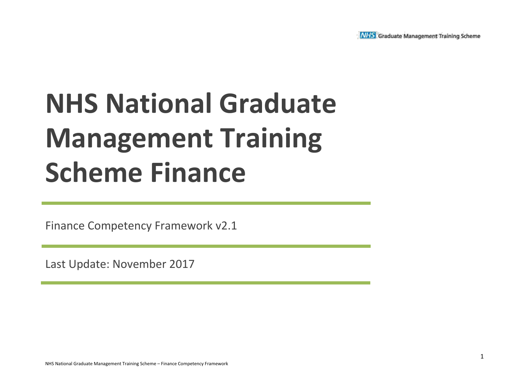

# **NHS National Graduate Management Training Scheme Finance**

Finance Competency Framework v2.1

Last Update: November 2017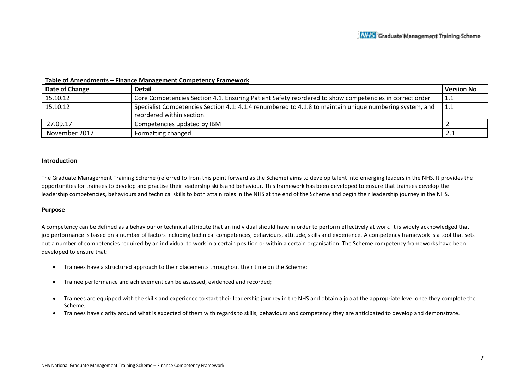| Table of Amendments - Finance Management Competency Framework |                                                                                                         |                   |  |  |  |  |  |  |
|---------------------------------------------------------------|---------------------------------------------------------------------------------------------------------|-------------------|--|--|--|--|--|--|
| Date of Change                                                | <b>Detail</b>                                                                                           | <b>Version No</b> |  |  |  |  |  |  |
| 15.10.12                                                      | Core Competencies Section 4.1. Ensuring Patient Safety reordered to show competencies in correct order  | 1.1               |  |  |  |  |  |  |
| 15.10.12                                                      | Specialist Competencies Section 4.1: 4.1.4 renumbered to 4.1.8 to maintain unique numbering system, and | l 1.1             |  |  |  |  |  |  |
|                                                               | reordered within section.                                                                               |                   |  |  |  |  |  |  |
| 27.09.17                                                      | Competencies updated by IBM                                                                             |                   |  |  |  |  |  |  |
| November 2017                                                 | Formatting changed                                                                                      | 2.1               |  |  |  |  |  |  |

#### **Introduction**

The Graduate Management Training Scheme (referred to from this point forward as the Scheme) aims to develop talent into emerging leaders in the NHS. It provides the opportunities for trainees to develop and practise their leadership skills and behaviour. This framework has been developed to ensure that trainees develop the leadership competencies, behaviours and technical skills to both attain roles in the NHS at the end of the Scheme and begin their leadership journey in the NHS.

#### **Purpose**

A competency can be defined as a behaviour or technical attribute that an individual should have in order to perform effectively at work. It is widely acknowledged that job performance is based on a number of factors including technical competences, behaviours, attitude, skills and experience. A competency framework is a tool that sets out a number of competencies required by an individual to work in a certain position or within a certain organisation. The Scheme competency frameworks have been developed to ensure that:

- Trainees have a structured approach to their placements throughout their time on the Scheme;
- Trainee performance and achievement can be assessed, evidenced and recorded;
- Trainees are equipped with the skills and experience to start their leadership journey in the NHS and obtain a job at the appropriate level once they complete the Scheme;
- Trainees have clarity around what is expected of them with regards to skills, behaviours and competency they are anticipated to develop and demonstrate.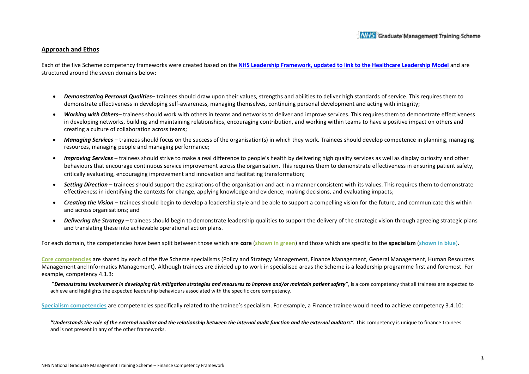#### **Approach and Ethos**

Each of the five Scheme competency frameworks were created based on the **NHS Leadership Framework, updated to link to the Healthcare Leadership Model** and are structured around the seven domains below:

- *Demonstrating Personal Qualities* trainees should draw upon their values, strengths and abilities to deliver high standards of service. This requires them to demonstrate effectiveness in developing self-awareness, managing themselves, continuing personal development and acting with integrity;
- *Working with Others* trainees should work with others in teams and networks to deliver and improve services. This requires them to demonstrate effectiveness in developing networks, building and maintaining relationships, encouraging contribution, and working within teams to have a positive impact on others and creating a culture of collaboration across teams;
- Managing Services trainees should focus on the success of the organisation(s) in which they work. Trainees should develop competence in planning, managing resources, managing people and managing performance;
- *Improving Services*  trainees should strive to make a real difference to people's health by delivering high quality services as well as display curiosity and other behaviours that encourage continuous service improvement across the organisation. This requires them to demonstrate effectiveness in ensuring patient safety, critically evaluating, encouraging improvement and innovation and facilitating transformation;
- *Setting Direction*  trainees should support the aspirations of the organisation and act in a manner consistent with its values. This requires them to demonstrate effectiveness in identifying the contexts for change, applying knowledge and evidence, making decisions, and evaluating impacts;
- *Creating the Vision*  trainees should begin to develop a leadership style and be able to support a compelling vision for the future, and communicate this within and across organisations; and
- Delivering the Strategy trainees should begin to demonstrate leadership qualities to support the delivery of the strategic vision through agreeing strategic plans and translating these into achievable operational action plans.

For each domain, the competencies have been split between those which are **core** (**shown in green**) and those which are specific to the **specialism** (**shown in blue**).

**Core competencies** are shared by each of the five Scheme specialisms (Policy and Strategy Management, Finance Management, General Management, Human Resources Management and Informatics Management). Although trainees are divided up to work in specialised areas the Scheme is a leadership programme first and foremost. For example, competency 4.1.3:

"*Demonstrates involvement in developing risk mitigation strategies and measures to improve and/or maintain patient safety*", is a core competency that all trainees are expected to achieve and highlights the expected leadership behaviours associated with the specific core competency.

**Specialism competencies** are competencies specifically related to the trainee's specialism. For example, a Finance trainee would need to achieve competency 3.4.10:

"Understands the role of the external auditor and the relationship between the internal audit function and the external auditors". This competency is unique to finance trainees and is not present in any of the other frameworks.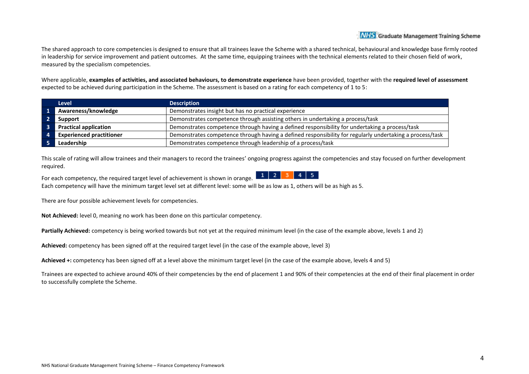The shared approach to core competencies is designed to ensure that all trainees leave the Scheme with a shared technical, behavioural and knowledge base firmly rooted in leadership for service improvement and patient outcomes. At the same time, equipping trainees with the technical elements related to their chosen field of work, measured by the specialism competencies.

Where applicable, **examples of activities, and associated behaviours, to demonstrate experience** have been provided, together with the **required level of assessment** expected to be achieved during participation in the Scheme. The assessment is based on a rating for each competency of 1 to 5:

| <b>Level</b>                    | <b>Description</b>                                                                                       |
|---------------------------------|----------------------------------------------------------------------------------------------------------|
| Awareness/knowledge             | Demonstrates insight but has no practical experience                                                     |
| Support                         | Demonstrates competence through assisting others in undertaking a process/task                           |
| <b>Practical application</b>    | Demonstrates competence through having a defined responsibility for undertaking a process/task           |
| <b>Experienced practitioner</b> | Demonstrates competence through having a defined responsibility for regularly undertaking a process/task |
| Leadership                      | Demonstrates competence through leadership of a process/task                                             |

This scale of rating will allow trainees and their managers to record the trainees' ongoing progress against the competencies and stay focused on further development required.

 $1 \ 2 \ 3 \ 4 \ 5$ For each competency, the required target level of achievement is shown in orange. Each competency will have the minimum target level set at different level: some will be as low as 1, others will be as high as 5.

There are four possible achievement levels for competencies.

**Not Achieved:** level 0, meaning no work has been done on this particular competency.

**Partially Achieved:** competency is being worked towards but not yet at the required minimum level (in the case of the example above, levels 1 and 2)

**Achieved:** competency has been signed off at the required target level (in the case of the example above, level 3)

**Achieved +:** competency has been signed off at a level above the minimum target level (in the case of the example above, levels 4 and 5)

Trainees are expected to achieve around 40% of their competencies by the end of placement 1 and 90% of their competencies at the end of their final placement in order to successfully complete the Scheme.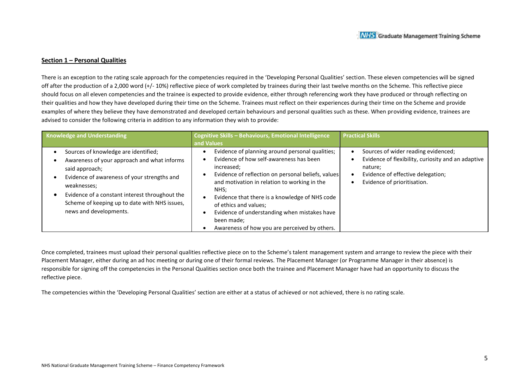#### **Section 1 – Personal Qualities**

There is an exception to the rating scale approach for the competencies required in the 'Developing Personal Qualities' section. These eleven competencies will be signed off after the production of a 2,000 word (+/- 10%) reflective piece of work completed by trainees during their last twelve months on the Scheme. This reflective piece should focus on all eleven competencies and the trainee is expected to provide evidence, either through referencing work they have produced or through reflecting on their qualities and how they have developed during their time on the Scheme. Trainees must reflect on their experiences during their time on the Scheme and provide examples of where they believe they have demonstrated and developed certain behaviours and personal qualities such as these. When providing evidence, trainees are advised to consider the following criteria in addition to any information they wish to provide:

| Knowledge and Understanding                                                                                                                                                                                                                                                                      | Cognitive Skills - Behaviours, Emotional Intelligence<br>and Values                                                                                                                                                                                                                                                                                                                                              | <b>Practical Skills</b>                                                                                                                                                  |
|--------------------------------------------------------------------------------------------------------------------------------------------------------------------------------------------------------------------------------------------------------------------------------------------------|------------------------------------------------------------------------------------------------------------------------------------------------------------------------------------------------------------------------------------------------------------------------------------------------------------------------------------------------------------------------------------------------------------------|--------------------------------------------------------------------------------------------------------------------------------------------------------------------------|
| Sources of knowledge are identified;<br>Awareness of your approach and what informs<br>said approach;<br>Evidence of awareness of your strengths and<br>weaknesses;<br>Evidence of a constant interest throughout the<br>Scheme of keeping up to date with NHS issues,<br>news and developments. | Evidence of planning around personal qualities;<br>Evidence of how self-awareness has been<br>increased;<br>Evidence of reflection on personal beliefs, values<br>and motivation in relation to working in the<br>NHS:<br>Evidence that there is a knowledge of NHS code<br>of ethics and values;<br>Evidence of understanding when mistakes have<br>been made;<br>Awareness of how you are perceived by others. | Sources of wider reading evidenced;<br>Evidence of flexibility, curiosity and an adaptive<br>nature;<br>Evidence of effective delegation;<br>Evidence of prioritisation. |

Once completed, trainees must upload their personal qualities reflective piece on to the Scheme's talent management system and arrange to review the piece with their Placement Manager, either during an ad hoc meeting or during one of their formal reviews. The Placement Manager (or Programme Manager in their absence) is responsible for signing off the competencies in the Personal Qualities section once both the trainee and Placement Manager have had an opportunity to discuss the reflective piece.

The competencies within the 'Developing Personal Qualities' section are either at a status of achieved or not achieved, there is no rating scale.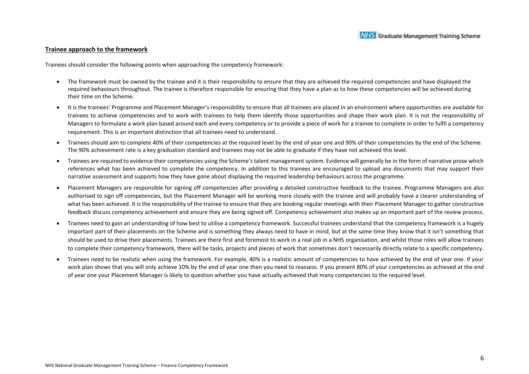#### **Trainee approach to the framework**

Trainees should consider the following points when approaching the competency framework:

- The framework must be owned by the trainee and it is their responsibility to ensure that they are achieved the required competencies and have displayed the required behaviours throughout. The trainee is therefore responsible for ensuring that they have a plan as to how these competencies will be achieved during their time on the Scheme.
- It is the trainees' Programme and Placement Manager's responsibility to ensure that all trainees are placed in an environment where opportunities are available for trainees to achieve competencies and to work with trainees to help them identify those opportunities and shape their work plan. It is not the responsibility of Managers to formulate a work plan based around each and every competency or to provide a piece of work for a trainee to complete in order to fulfil a competency requirement. This is an important distinction that all trainees need to understand.
- Trainees should aim to complete 40% of their competencies at the required level by the end of year one and 90% of their competencies by the end of the Scheme. The 90% achievement rate is a key graduation standard and trainees may not be able to graduate if they have not achieved this level.
- Trainees are required to evidence their competencies using the Scheme's talent management system. Evidence will generally be in the form of narrative prose which references what has been achieved to complete the competency. In addition to this trainees are encouraged to upload any documents that may support their narrative assessment and supports how they have gone about displaying the required leadership behaviours across the programme.
- Placement Managers are responsible for signing off competencies after providing a detailed constructive feedback to the trainee. Programme Managers are also authorised to sign off competencies, but the Placement Manager will be working more closely with the trainee and will probably have a clearer understanding of what has been achieved. It is the responsibility of the trainee to ensure that they are booking regular meetings with their Placement Manager to gather constructive feedback discuss competency achievement and ensure they are being signed off. Competency achievement also makes up an important part of the review process.
- Trainees need to gain an understanding of how best to utilise a competency framework. Successful trainees understand that the competency framework is a hugely important part of their placements on the Scheme and is something they always need to have in mind, but at the same time they know that it isn't something that should be used to drive their placements. Trainees are there first and foremost to work in a real job in a NHS organisation, and whilst those roles will allow trainees to complete their competency framework, there will be tasks, projects and pieces of work that sometimes don't necessarily directly relate to a specific competency.
- Trainees need to be realistic when using the framework. For example, 40% is a realistic amount of competencies to have achieved by the end of year one. If your work plan shows that you will only achieve 10% by the end of year one then you need to reassess. If you present 80% of your competencies as achieved at the end of year one your Placement Manager is likely to question whether you have actually achieved that many competencies to the required level.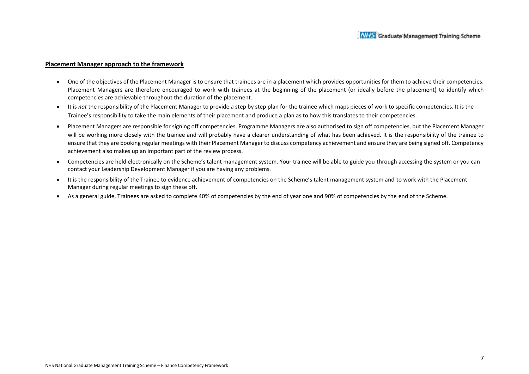#### **Placement Manager approach to the framework**

- One of the objectives of the Placement Manager is to ensure that trainees are in a placement which provides opportunities for them to achieve their competencies. Placement Managers are therefore encouraged to work with trainees at the beginning of the placement (or ideally before the placement) to identify which competencies are achievable throughout the duration of the placement.
- It is *not* the responsibility of the Placement Manager to provide a step by step plan for the trainee which maps pieces of work to specific competencies. It is the Trainee's responsibility to take the main elements of their placement and produce a plan as to how this translates to their competencies.
- Placement Managers are responsible for signing off competencies. Programme Managers are also authorised to sign off competencies, but the Placement Manager will be working more closely with the trainee and will probably have a clearer understanding of what has been achieved. It is the responsibility of the trainee to ensure that they are booking regular meetings with their Placement Manager to discuss competency achievement and ensure they are being signed off. Competency achievement also makes up an important part of the review process.
- Competencies are held electronically on the Scheme's talent management system. Your trainee will be able to guide you through accessing the system or you can contact your Leadership Development Manager if you are having any problems.
- It is the responsibility of the Trainee to evidence achievement of competencies on the Scheme's talent management system and to work with the Placement Manager during regular meetings to sign these off.
- As a general guide, Trainees are asked to complete 40% of competencies by the end of year one and 90% of competencies by the end of the Scheme.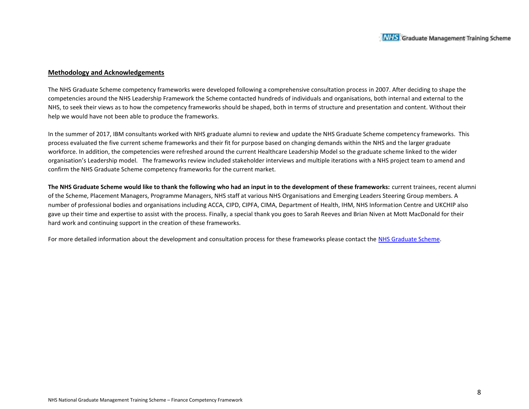#### **Methodology and Acknowledgements**

The NHS Graduate Scheme competency frameworks were developed following a comprehensive consultation process in 2007. After deciding to shape the competencies around the NHS Leadership Framework the Scheme contacted hundreds of individuals and organisations, both internal and external to the NHS, to seek their views as to how the competency frameworks should be shaped, both in terms of structure and presentation and content. Without their help we would have not been able to produce the frameworks.

In the summer of 2017, IBM consultants worked with NHS graduate alumni to review and update the NHS Graduate Scheme competency frameworks. This process evaluated the five current scheme frameworks and their fit for purpose based on changing demands within the NHS and the larger graduate workforce. In addition, the competencies were refreshed around the current Healthcare Leadership Model so the graduate scheme linked to the wider organisation's Leadership model. The frameworks review included stakeholder interviews and multiple iterations with a NHS project team to amend and confirm the NHS Graduate Scheme competency frameworks for the current market.

**The NHS Graduate Scheme would like to thank the following who had an input in to the development of these frameworks:** current trainees, recent alumni of the Scheme, Placement Managers, Programme Managers, NHS staff at various NHS Organisations and Emerging Leaders Steering Group members. A number of professional bodies and organisations including ACCA, CIPD, CIPFA, CIMA, Department of Health, IHM, NHS Information Centre and UKCHIP also gave up their time and expertise to assist with the process. Finally, a special thank you goes to Sarah Reeves and Brian Niven at Mott MacDonald for their hard work and continuing support in the creation of these frameworks.

For more detailed information about the development and consultation process for these frameworks please contact the NHS Graduate Scheme.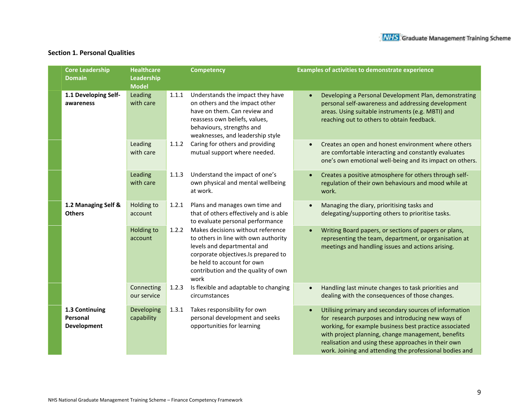#### **Section 1. Personal Qualities**

| <b>Core Leadership</b><br><b>Domain</b>          | <b>Healthcare</b><br>Leadership<br><b>Model</b> |       | <b>Competency</b>                                                                                                                                                                                                            | <b>Examples of activities to demonstrate experience</b>                                                                                                                                                                                                                                                                                       |
|--------------------------------------------------|-------------------------------------------------|-------|------------------------------------------------------------------------------------------------------------------------------------------------------------------------------------------------------------------------------|-----------------------------------------------------------------------------------------------------------------------------------------------------------------------------------------------------------------------------------------------------------------------------------------------------------------------------------------------|
| 1.1 Developing Self-<br>awareness                | Leading<br>with care                            | 1.1.1 | Understands the impact they have<br>on others and the impact other<br>have on them. Can review and<br>reassess own beliefs, values,<br>behaviours, strengths and<br>weaknesses, and leadership style                         | Developing a Personal Development Plan, demonstrating<br>personal self-awareness and addressing development<br>areas. Using suitable instruments (e.g. MBTI) and<br>reaching out to others to obtain feedback.                                                                                                                                |
|                                                  | Leading<br>with care                            | 1.1.2 | Caring for others and providing<br>mutual support where needed.                                                                                                                                                              | Creates an open and honest environment where others<br>are comfortable interacting and constantly evaluates<br>one's own emotional well-being and its impact on others.                                                                                                                                                                       |
|                                                  | Leading<br>with care                            | 1.1.3 | Understand the impact of one's<br>own physical and mental wellbeing<br>at work.                                                                                                                                              | Creates a positive atmosphere for others through self-<br>regulation of their own behaviours and mood while at<br>work.                                                                                                                                                                                                                       |
| 1.2 Managing Self &<br><b>Others</b>             | Holding to<br>account                           | 1.2.1 | Plans and manages own time and<br>that of others effectively and is able<br>to evaluate personal performance                                                                                                                 | Managing the diary, prioritising tasks and<br>delegating/supporting others to prioritise tasks.                                                                                                                                                                                                                                               |
|                                                  | Holding to<br>account                           | 1.2.2 | Makes decisions without reference<br>to others in line with own authority<br>levels and departmental and<br>corporate objectives.Is prepared to<br>be held to account for own<br>contribution and the quality of own<br>work | Writing Board papers, or sections of papers or plans,<br>representing the team, department, or organisation at<br>meetings and handling issues and actions arising.                                                                                                                                                                           |
|                                                  | Connecting<br>our service                       | 1.2.3 | Is flexible and adaptable to changing<br>circumstances                                                                                                                                                                       | Handling last minute changes to task priorities and<br>dealing with the consequences of those changes.                                                                                                                                                                                                                                        |
| 1.3 Continuing<br>Personal<br><b>Development</b> | Developing<br>capability                        | 1.3.1 | Takes responsibility for own<br>personal development and seeks<br>opportunities for learning                                                                                                                                 | Utilising primary and secondary sources of information<br>for research purposes and introducing new ways of<br>working, for example business best practice associated<br>with project planning, change management, benefits<br>realisation and using these approaches in their own<br>work. Joining and attending the professional bodies and |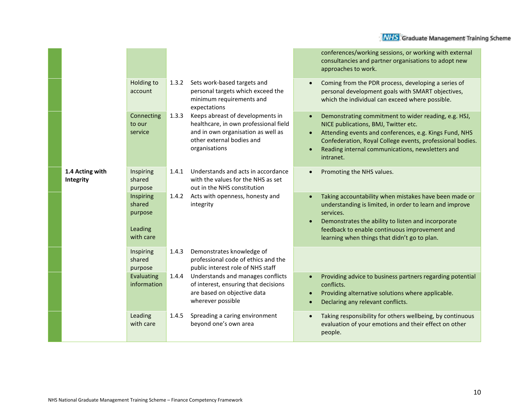|                              |                                                        |       |                                                                                                                                                               |                        | conferences/working sessions, or working with external<br>consultancies and partner organisations to adopt new<br>approaches to work.                                                                                                                                                |
|------------------------------|--------------------------------------------------------|-------|---------------------------------------------------------------------------------------------------------------------------------------------------------------|------------------------|--------------------------------------------------------------------------------------------------------------------------------------------------------------------------------------------------------------------------------------------------------------------------------------|
|                              | <b>Holding to</b><br>account                           | 1.3.2 | Sets work-based targets and<br>personal targets which exceed the<br>minimum requirements and<br>expectations                                                  |                        | Coming from the PDR process, developing a series of<br>personal development goals with SMART objectives,<br>which the individual can exceed where possible.                                                                                                                          |
|                              | Connecting<br>to our<br>service                        | 1.3.3 | Keeps abreast of developments in<br>healthcare, in own professional field<br>and in own organisation as well as<br>other external bodies and<br>organisations |                        | Demonstrating commitment to wider reading, e.g. HSJ,<br>NICE publications, BMJ, Twitter etc.<br>Attending events and conferences, e.g. Kings Fund, NHS<br>Confederation, Royal College events, professional bodies.<br>Reading internal communications, newsletters and<br>intranet. |
| 1.4 Acting with<br>Integrity | Inspiring<br>shared<br>purpose                         | 1.4.1 | Understands and acts in accordance<br>with the values for the NHS as set<br>out in the NHS constitution                                                       |                        | Promoting the NHS values.                                                                                                                                                                                                                                                            |
|                              | Inspiring<br>shared<br>purpose<br>Leading<br>with care | 1.4.2 | Acts with openness, honesty and<br>integrity                                                                                                                  |                        | Taking accountability when mistakes have been made or<br>understanding is limited, in order to learn and improve<br>services.<br>Demonstrates the ability to listen and incorporate<br>feedback to enable continuous improvement and<br>learning when things that didn't go to plan. |
|                              | Inspiring<br>shared<br>purpose                         | 1.4.3 | Demonstrates knowledge of<br>professional code of ethics and the<br>public interest role of NHS staff                                                         |                        |                                                                                                                                                                                                                                                                                      |
|                              | Evaluating<br>information                              | 1.4.4 | Understands and manages conflicts<br>of interest, ensuring that decisions<br>are based on objective data<br>wherever possible                                 | $\bullet$<br>$\bullet$ | Providing advice to business partners regarding potential<br>conflicts.<br>Providing alternative solutions where applicable.<br>Declaring any relevant conflicts.                                                                                                                    |
|                              | Leading<br>with care                                   | 1.4.5 | Spreading a caring environment<br>beyond one's own area                                                                                                       |                        | Taking responsibility for others wellbeing, by continuous<br>evaluation of your emotions and their effect on other<br>people.                                                                                                                                                        |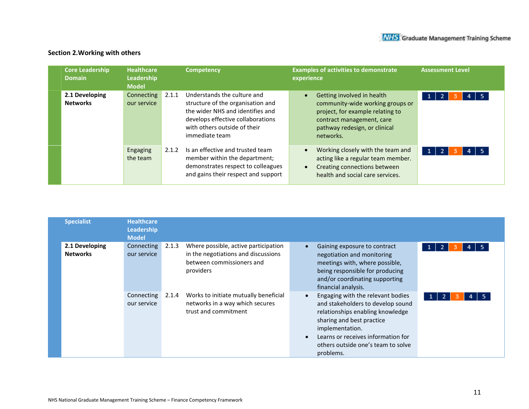### **Section 2.Working with others**

| <b>Core Leadership</b><br><b>Domain</b> | <b>Healthcare</b><br>Leadership<br><b>Model</b> |       | <b>Competency</b>                                                                                                                                                                           | <b>Examples of activities to demonstrate</b><br>experience                                                                                                                    | <b>Assessment Level</b>  |
|-----------------------------------------|-------------------------------------------------|-------|---------------------------------------------------------------------------------------------------------------------------------------------------------------------------------------------|-------------------------------------------------------------------------------------------------------------------------------------------------------------------------------|--------------------------|
| 2.1 Developing<br><b>Networks</b>       | Connecting<br>our service                       | 2.1.1 | Understands the culture and<br>structure of the organisation and<br>the wider NHS and identifies and<br>develops effective collaborations<br>with others outside of their<br>immediate team | Getting involved in health<br>community-wide working groups or<br>project, for example relating to<br>contract management, care<br>pathway redesign, or clinical<br>networks. | $4 \mid 5$<br>$1 \mid 2$ |
|                                         | Engaging<br>the team                            | 2.1.2 | Is an effective and trusted team<br>member within the department;<br>demonstrates respect to colleagues<br>and gains their respect and support                                              | Working closely with the team and<br>acting like a regular team member.<br>Creating connections between<br>health and social care services.                                   | $4 \mid 5$<br>$1 \mid 2$ |

| <b>Specialist</b>                 | <b>Healthcare</b><br><b>Leadership</b><br><b>Model</b> |       |                                                                                                                       |                                                                                                                                                                                                                                                     |                   |
|-----------------------------------|--------------------------------------------------------|-------|-----------------------------------------------------------------------------------------------------------------------|-----------------------------------------------------------------------------------------------------------------------------------------------------------------------------------------------------------------------------------------------------|-------------------|
| 2.1 Developing<br><b>Networks</b> | Connecting<br>our service                              | 2.1.3 | Where possible, active participation<br>in the negotiations and discussions<br>between commissioners and<br>providers | Gaining exposure to contract<br>negotiation and monitoring<br>meetings with, where possible,<br>being responsible for producing<br>and/or coordinating supporting<br>financial analysis.                                                            | 1                 |
|                                   | Connecting<br>our service                              | 2.1.4 | Works to initiate mutually beneficial<br>networks in a way which secures<br>trust and commitment                      | Engaging with the relevant bodies<br>and stakeholders to develop sound<br>relationships enabling knowledge<br>sharing and best practice<br>implementation.<br>Learns or receives information for<br>others outside one's team to solve<br>problems. | $\mathbf{1}$<br>2 |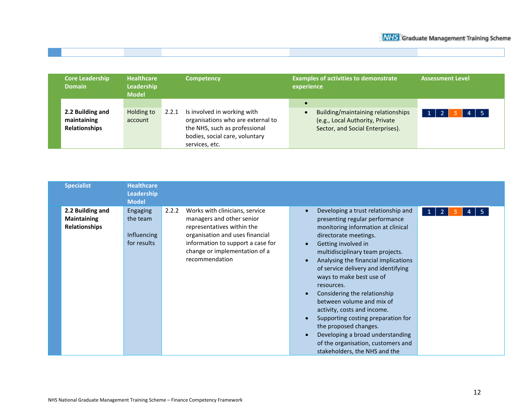| <b>Domain</b> | <b>Core Leadership</b>                   | <b>Healthcare</b><br>Leadership<br><b>Model</b> | <b>Competency</b>                                                                                                                                              | <b>Examples of activities to demonstrate</b><br>experience                                                | <b>Assessment Level</b> |
|---------------|------------------------------------------|-------------------------------------------------|----------------------------------------------------------------------------------------------------------------------------------------------------------------|-----------------------------------------------------------------------------------------------------------|-------------------------|
| maintaining   | 2.2 Building and<br><b>Relationships</b> | Holding to<br>account                           | Is involved in working with<br>2.2.1<br>organisations who are external to<br>the NHS, such as professional<br>bodies, social care, voluntary<br>services, etc. | Building/maintaining relationships<br>(e.g., Local Authority, Private<br>Sector, and Social Enterprises). | $4 \mid 5$              |

| <b>Specialist</b>                                              | <b>Healthcare</b><br>Leadership<br><b>Model</b>           |       |                                                                                                                                                                                                                      |                                                                                                                                                                                                                                                                                                                                                                                                                                                                                                                                                                                                |                   |
|----------------------------------------------------------------|-----------------------------------------------------------|-------|----------------------------------------------------------------------------------------------------------------------------------------------------------------------------------------------------------------------|------------------------------------------------------------------------------------------------------------------------------------------------------------------------------------------------------------------------------------------------------------------------------------------------------------------------------------------------------------------------------------------------------------------------------------------------------------------------------------------------------------------------------------------------------------------------------------------------|-------------------|
| 2.2 Building and<br><b>Maintaining</b><br><b>Relationships</b> | <b>Engaging</b><br>the team<br>Influencing<br>for results | 2.2.2 | Works with clinicians, service<br>managers and other senior<br>representatives within the<br>organisation and uses financial<br>information to support a case for<br>change or implementation of a<br>recommendation | Developing a trust relationship and<br>presenting regular performance<br>monitoring information at clinical<br>directorate meetings.<br>Getting involved in<br>multidisciplinary team projects.<br>Analysing the financial implications<br>of service delivery and identifying<br>ways to make best use of<br>resources.<br>Considering the relationship<br>between volume and mix of<br>activity, costs and income.<br>Supporting costing preparation for<br>the proposed changes.<br>Developing a broad understanding<br>of the organisation, customers and<br>stakeholders, the NHS and the | $\mathbf{u}$<br>2 |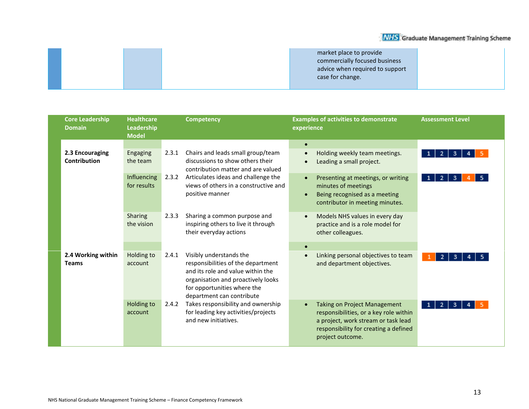| market place to provide         |
|---------------------------------|
| commercially focused business   |
| advice when required to support |
| case for change.                |
|                                 |

| <b>Core Leadership</b><br><b>Domain</b> | <b>Healthcare</b><br>Leadership<br><b>Model</b> | <b>Competency</b>                                                                                                                                                                                             | <b>Examples of activities to demonstrate</b><br>experience                                                                                                                        | <b>Assessment Level</b> |
|-----------------------------------------|-------------------------------------------------|---------------------------------------------------------------------------------------------------------------------------------------------------------------------------------------------------------------|-----------------------------------------------------------------------------------------------------------------------------------------------------------------------------------|-------------------------|
| 2.3 Encouraging<br><b>Contribution</b>  | Engaging<br>the team<br>Influencing             | Chairs and leads small group/team<br>2.3.1<br>discussions to show others their<br>contribution matter and are valued<br>Articulates ideas and challenge the<br>2.3.2                                          | $\bullet$<br>Holding weekly team meetings.<br>Leading a small project.<br>Presenting at meetings, or writing                                                                      | 2<br>3.                 |
|                                         | for results                                     | views of others in a constructive and<br>positive manner                                                                                                                                                      | minutes of meetings<br>Being recognised as a meeting<br>contributor in meeting minutes.                                                                                           | 2<br>3                  |
|                                         | Sharing<br>the vision                           | 2.3.3<br>Sharing a common purpose and<br>inspiring others to live it through<br>their everyday actions                                                                                                        | Models NHS values in every day<br>practice and is a role model for<br>other colleagues.                                                                                           |                         |
| 2.4 Working within<br><b>Teams</b>      | Holding to<br>account                           | Visibly understands the<br>2.4.1<br>responsibilities of the department<br>and its role and value within the<br>organisation and proactively looks<br>for opportunities where the<br>department can contribute | Linking personal objectives to team<br>and department objectives.                                                                                                                 | $\overline{2}$<br>3.    |
|                                         | Holding to<br>account                           | Takes responsibility and ownership<br>2.4.2<br>for leading key activities/projects<br>and new initiatives.                                                                                                    | <b>Taking on Project Management</b><br>responsibilities, or a key role within<br>a project, work stream or task lead<br>responsibility for creating a defined<br>project outcome. | $\overline{2}$<br>3     |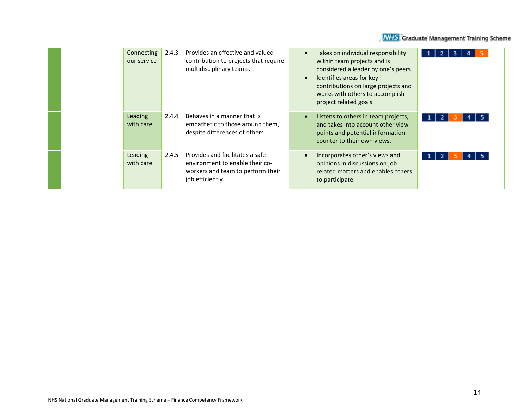|  | Connecting<br>our service | 2.4.3 | Provides an effective and valued<br>contribution to projects that require<br>multidisciplinary teams.                       | Takes on individual responsibility<br>$\bullet$<br>within team projects and is<br>considered a leader by one's peers.<br>Identifies areas for key<br>$\bullet$<br>contributions on large projects and<br>works with others to accomplish<br>project related goals. |  |
|--|---------------------------|-------|-----------------------------------------------------------------------------------------------------------------------------|--------------------------------------------------------------------------------------------------------------------------------------------------------------------------------------------------------------------------------------------------------------------|--|
|  | Leading<br>with care      | 2.4.4 | Behaves in a manner that is<br>empathetic to those around them,<br>despite differences of others.                           | Listens to others in team projects,<br>$\bullet$<br>and takes into account other view<br>points and potential information<br>counter to their own views.                                                                                                           |  |
|  | Leading<br>with care      | 2.4.5 | Provides and facilitates a safe<br>environment to enable their co-<br>workers and team to perform their<br>job efficiently. | Incorporates other's views and<br>$\bullet$<br>opinions in discussions on job<br>related matters and enables others<br>to participate.                                                                                                                             |  |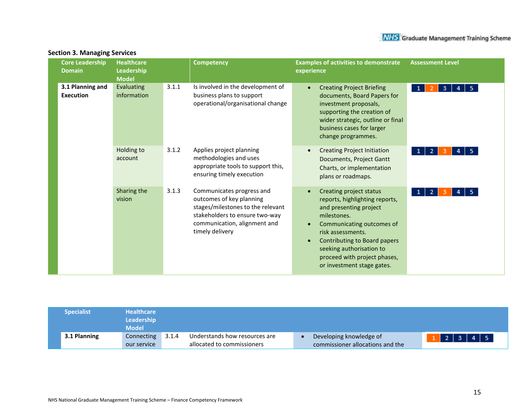| <b>Core Leadership</b><br><b>Domain</b> | <b>Healthcare</b><br>Leadership<br><b>Model</b> |       | <b>Competency</b>                                                                                                                                                               | <b>Examples of activities to demonstrate</b><br>experience                                                                                                                                                                                                                     | <b>Assessment Level</b>                   |
|-----------------------------------------|-------------------------------------------------|-------|---------------------------------------------------------------------------------------------------------------------------------------------------------------------------------|--------------------------------------------------------------------------------------------------------------------------------------------------------------------------------------------------------------------------------------------------------------------------------|-------------------------------------------|
| 3.1 Planning and<br><b>Execution</b>    | Evaluating<br>information                       | 3.1.1 | Is involved in the development of<br>business plans to support<br>operational/organisational change                                                                             | <b>Creating Project Briefing</b><br>$\bullet$<br>documents, Board Papers for<br>investment proposals,<br>supporting the creation of<br>wider strategic, outline or final<br>business cases for larger<br>change programmes.                                                    | 5 <sup>1</sup><br>$\mathbf{1}$<br>3.<br>4 |
|                                         | Holding to<br>account                           | 3.1.2 | Applies project planning<br>methodologies and uses<br>appropriate tools to support this,<br>ensuring timely execution                                                           | <b>Creating Project Initiation</b><br>$\bullet$<br>Documents, Project Gantt<br>Charts, or implementation<br>plans or roadmaps.                                                                                                                                                 | -5                                        |
|                                         | Sharing the<br>vision                           | 3.1.3 | Communicates progress and<br>outcomes of key planning<br>stages/milestones to the relevant<br>stakeholders to ensure two-way<br>communication, alignment and<br>timely delivery | Creating project status<br>reports, highlighting reports,<br>and presenting project<br>milestones.<br>Communicating outcomes of<br>risk assessments.<br>Contributing to Board papers<br>seeking authorisation to<br>proceed with project phases,<br>or investment stage gates. | -5.<br>1<br>2                             |

#### **Section 3. Managing Services**

| <b>Specialist</b> | <b>Healthcare</b><br>Leadership<br><b>Model</b> |       |                                                             |                                                             |                                 |
|-------------------|-------------------------------------------------|-------|-------------------------------------------------------------|-------------------------------------------------------------|---------------------------------|
| 3.1 Planning      | Connecting<br>our service                       | 3.1.4 | Understands how resources are<br>allocated to commissioners | Developing knowledge of<br>commissioner allocations and the | $1 \mid 2 \mid 3 \mid 4 \mid 5$ |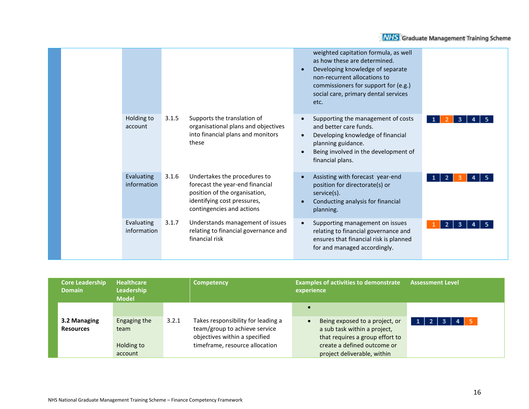|                           |                                                                                                                                                                       | weighted capitation formula, as well<br>as how these are determined.<br>Developing knowledge of separate<br>non-recurrent allocations to<br>commissioners for support for (e.g.)<br>social care, primary dental services<br>etc. |  |
|---------------------------|-----------------------------------------------------------------------------------------------------------------------------------------------------------------------|----------------------------------------------------------------------------------------------------------------------------------------------------------------------------------------------------------------------------------|--|
| Holding to<br>account     | 3.1.5<br>Supports the translation of<br>organisational plans and objectives<br>into financial plans and monitors<br>these                                             | Supporting the management of costs<br>$\bullet$<br>and better care funds.<br>Developing knowledge of financial<br>$\bullet$<br>planning guidance.<br>Being involved in the development of<br>financial plans.                    |  |
| Evaluating<br>information | Undertakes the procedures to<br>3.1.6<br>forecast the year-end financial<br>position of the organisation,<br>identifying cost pressures,<br>contingencies and actions | Assisting with forecast year-end<br>$\bullet$<br>position for directorate(s) or<br>service(s).<br>Conducting analysis for financial<br>$\bullet$<br>planning.                                                                    |  |
| Evaluating<br>information | Understands management of issues<br>3.1.7<br>relating to financial governance and<br>financial risk                                                                   | Supporting management on issues<br>$\bullet$<br>relating to financial governance and<br>ensures that financial risk is planned<br>for and managed accordingly.                                                                   |  |

| <b>Core Leadership</b><br><b>Domain</b> | <b>Healthcare</b><br>Leadership<br><b>Model</b> | Competency                                                                                                                                      | <b>Examples of activities to demonstrate</b><br>experience                                                                                                                   | <b>Assessment Level</b> |
|-----------------------------------------|-------------------------------------------------|-------------------------------------------------------------------------------------------------------------------------------------------------|------------------------------------------------------------------------------------------------------------------------------------------------------------------------------|-------------------------|
| 3.2 Managing<br><b>Resources</b>        | Engaging the<br>team<br>Holding to<br>account   | Takes responsibility for leading a<br>3.2.1<br>team/group to achieve service<br>objectives within a specified<br>timeframe, resource allocation | $\bullet$<br>Being exposed to a project, or<br>a sub task within a project,<br>that requires a group effort to<br>create a defined outcome or<br>project deliverable, within | -2<br>1 <sup>1</sup>    |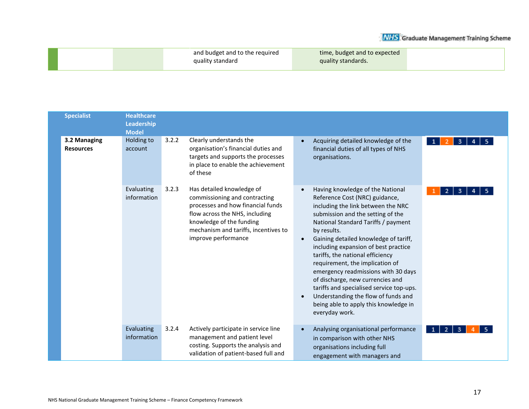| and budget and to the required | time, budget and to expected |
|--------------------------------|------------------------------|
| quality standard               | quality standards.           |
|                                |                              |

| <b>Specialist</b>                | <b>Healthcare</b><br>Leadership<br><b>Model</b> |       |                                                                                                                                                                                                                              |           |                                                                                                                                                                                                                                                                                                                                                                                                                                                                                                                                                                                      |                                     |
|----------------------------------|-------------------------------------------------|-------|------------------------------------------------------------------------------------------------------------------------------------------------------------------------------------------------------------------------------|-----------|--------------------------------------------------------------------------------------------------------------------------------------------------------------------------------------------------------------------------------------------------------------------------------------------------------------------------------------------------------------------------------------------------------------------------------------------------------------------------------------------------------------------------------------------------------------------------------------|-------------------------------------|
| 3.2 Managing<br><b>Resources</b> | Holding to<br>account                           | 3.2.2 | Clearly understands the<br>organisation's financial duties and<br>targets and supports the processes<br>in place to enable the achievement<br>of these                                                                       | $\bullet$ | Acquiring detailed knowledge of the<br>financial duties of all types of NHS<br>organisations.                                                                                                                                                                                                                                                                                                                                                                                                                                                                                        | 3<br>$\mathbf{1}$                   |
|                                  | Evaluating<br>information                       | 3.2.3 | Has detailed knowledge of<br>commissioning and contracting<br>processes and how financial funds<br>flow across the NHS, including<br>knowledge of the funding<br>mechanism and tariffs, incentives to<br>improve performance |           | Having knowledge of the National<br>Reference Cost (NRC) guidance,<br>including the link between the NRC<br>submission and the setting of the<br>National Standard Tariffs / payment<br>by results.<br>Gaining detailed knowledge of tariff,<br>including expansion of best practice<br>tariffs, the national efficiency<br>requirement, the implication of<br>emergency readmissions with 30 days<br>of discharge, new currencies and<br>tariffs and specialised service top-ups.<br>Understanding the flow of funds and<br>being able to apply this knowledge in<br>everyday work. | З                                   |
|                                  | Evaluating<br>information                       | 3.2.4 | Actively participate in service line<br>management and patient level<br>costing. Supports the analysis and<br>validation of patient-based full and                                                                           |           | Analysing organisational performance<br>in comparison with other NHS<br>organisations including full<br>engagement with managers and                                                                                                                                                                                                                                                                                                                                                                                                                                                 | 2 <sup>1</sup><br>3<br>$\mathbf{1}$ |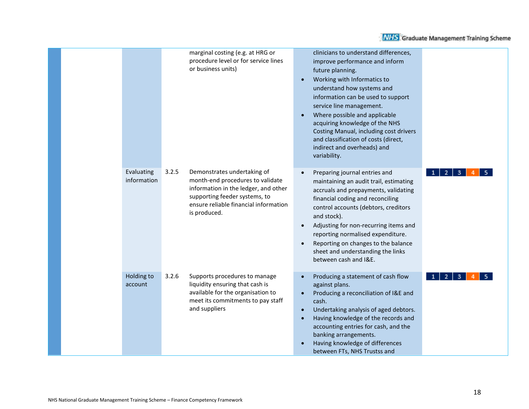|                           | marginal costing (e.g. at HRG or<br>procedure level or for service lines<br>or business units)                                                                                                             | clinicians to understand differences,<br>improve performance and inform<br>future planning.<br>Working with Informatics to<br>understand how systems and<br>information can be used to support<br>service line management.<br>Where possible and applicable<br>$\bullet$<br>acquiring knowledge of the NHS<br>Costing Manual, including cost drivers<br>and classification of costs (direct,<br>indirect and overheads) and<br>variability.     |
|---------------------------|------------------------------------------------------------------------------------------------------------------------------------------------------------------------------------------------------------|-------------------------------------------------------------------------------------------------------------------------------------------------------------------------------------------------------------------------------------------------------------------------------------------------------------------------------------------------------------------------------------------------------------------------------------------------|
| Evaluating<br>information | 3.2.5<br>Demonstrates undertaking of<br>month-end procedures to validate<br>information in the ledger, and other<br>supporting feeder systems, to<br>ensure reliable financial information<br>is produced. | Preparing journal entries and<br>2 <sup>1</sup><br>з.<br>maintaining an audit trail, estimating<br>accruals and prepayments, validating<br>financial coding and reconciling<br>control accounts (debtors, creditors<br>and stock).<br>Adjusting for non-recurring items and<br>$\bullet$<br>reporting normalised expenditure.<br>Reporting on changes to the balance<br>$\bullet$<br>sheet and understanding the links<br>between cash and I&E. |
| Holding to<br>account     | 3.2.6<br>Supports procedures to manage<br>liquidity ensuring that cash is<br>available for the organisation to<br>meet its commitments to pay staff<br>and suppliers                                       | Producing a statement of cash flow<br>2 <sup>1</sup><br>3<br>$\bullet$<br>against plans.<br>Producing a reconciliation of I&E and<br>$\bullet$<br>cash.<br>Undertaking analysis of aged debtors.<br>$\bullet$<br>Having knowledge of the records and<br>$\bullet$<br>accounting entries for cash, and the<br>banking arrangements.<br>Having knowledge of differences<br>between FTs, NHS Trustss and                                           |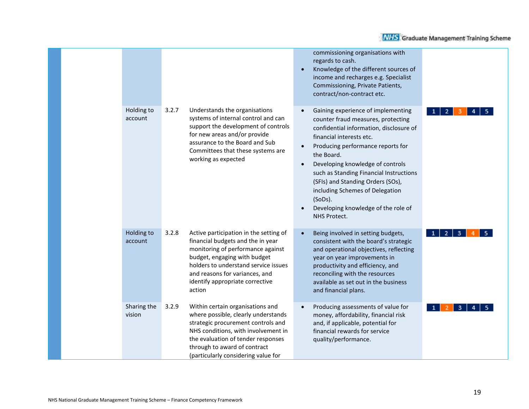|                       |       |                                                                                                                                                                                                                                                                         |                        | commissioning organisations with<br>regards to cash.<br>Knowledge of the different sources of<br>income and recharges e.g. Specialist<br>Commissioning, Private Patients,<br>contract/non-contract etc.                                                                                                                                                                                                                     |                     |
|-----------------------|-------|-------------------------------------------------------------------------------------------------------------------------------------------------------------------------------------------------------------------------------------------------------------------------|------------------------|-----------------------------------------------------------------------------------------------------------------------------------------------------------------------------------------------------------------------------------------------------------------------------------------------------------------------------------------------------------------------------------------------------------------------------|---------------------|
| Holding to<br>account | 3.2.7 | Understands the organisations<br>systems of internal control and can<br>support the development of controls<br>for new areas and/or provide<br>assurance to the Board and Sub<br>Committees that these systems are<br>working as expected                               | $\bullet$<br>$\bullet$ | Gaining experience of implementing<br>counter fraud measures, protecting<br>confidential information, disclosure of<br>financial interests etc.<br>Producing performance reports for<br>the Board.<br>Developing knowledge of controls<br>such as Standing Financial Instructions<br>(SFIs) and Standing Orders (SOs),<br>including Schemes of Delegation<br>(SoDs).<br>Developing knowledge of the role of<br>NHS Protect. | 2                   |
| Holding to<br>account | 3.2.8 | Active participation in the setting of<br>financial budgets and the in year<br>monitoring of performance against<br>budget, engaging with budget<br>holders to understand service issues<br>and reasons for variances, and<br>identify appropriate corrective<br>action |                        | Being involved in setting budgets,<br>consistent with the board's strategic<br>and operational objectives, reflecting<br>year on year improvements in<br>productivity and efficiency, and<br>reconciling with the resources<br>available as set out in the business<br>and financial plans.                                                                                                                                 | 2 <sup>1</sup><br>3 |
| Sharing the<br>vision | 3.2.9 | Within certain organisations and<br>where possible, clearly understands<br>strategic procurement controls and<br>NHS conditions, with involvement in<br>the evaluation of tender responses<br>through to award of contract<br>(particularly considering value for       |                        | Producing assessments of value for<br>money, affordability, financial risk<br>and, if applicable, potential for<br>financial rewards for service<br>quality/performance.                                                                                                                                                                                                                                                    | 3                   |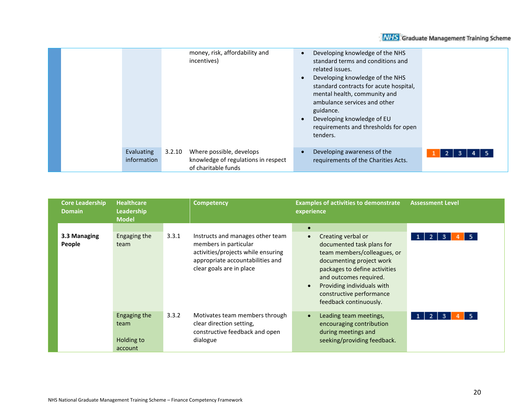|  |                           |        | money, risk, affordability and<br>incentives)                                          | $\bullet$<br>$\bullet$ | Developing knowledge of the NHS<br>standard terms and conditions and<br>related issues.<br>Developing knowledge of the NHS<br>standard contracts for acute hospital,<br>mental health, community and<br>ambulance services and other<br>guidance.<br>Developing knowledge of EU<br>requirements and thresholds for open<br>tenders. |  |
|--|---------------------------|--------|----------------------------------------------------------------------------------------|------------------------|-------------------------------------------------------------------------------------------------------------------------------------------------------------------------------------------------------------------------------------------------------------------------------------------------------------------------------------|--|
|  | Evaluating<br>information | 3.2.10 | Where possible, develops<br>knowledge of regulations in respect<br>of charitable funds |                        | Developing awareness of the<br>requirements of the Charities Acts.                                                                                                                                                                                                                                                                  |  |

| <b>Core Leadership</b><br><b>Domain</b> | <b>Healthcare</b><br><b>Leadership</b><br><b>Model</b> | <b>Competency</b>                                                                                                                                                        | <b>Examples of activities to demonstrate</b><br>experience                                                                                                                                                                                                                          | <b>Assessment Level</b>                    |
|-----------------------------------------|--------------------------------------------------------|--------------------------------------------------------------------------------------------------------------------------------------------------------------------------|-------------------------------------------------------------------------------------------------------------------------------------------------------------------------------------------------------------------------------------------------------------------------------------|--------------------------------------------|
| 3.3 Managing<br>People                  | Engaging the<br>team                                   | 3.3.1<br>Instructs and manages other team<br>members in particular<br>activities/projects while ensuring<br>appropriate accountabilities and<br>clear goals are in place | $\bullet$<br>Creating verbal or<br>documented task plans for<br>team members/colleagues, or<br>documenting project work<br>packages to define activities<br>and outcomes required.<br>Providing individuals with<br>$\bullet$<br>constructive performance<br>feedback continuously. | -5.<br>2<br>3                              |
|                                         | Engaging the<br>team<br>Holding to<br>account          | 3.3.2<br>Motivates team members through<br>clear direction setting,<br>constructive feedback and open<br>dialogue                                                        | Leading team meetings,<br>$\bullet$<br>encouraging contribution<br>during meetings and<br>seeking/providing feedback.                                                                                                                                                               | -5.<br>$\overline{2}$<br>3<br>$\mathbf{1}$ |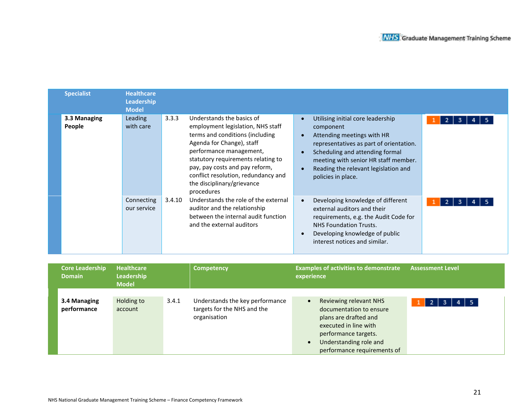| <b>Specialist</b>      | <b>Healthcare</b><br>Leadership<br><b>Model</b> |        |                                                                                                                                                                                                                                                                                                                      |                                                                                                                                                                                                                                                                  |
|------------------------|-------------------------------------------------|--------|----------------------------------------------------------------------------------------------------------------------------------------------------------------------------------------------------------------------------------------------------------------------------------------------------------------------|------------------------------------------------------------------------------------------------------------------------------------------------------------------------------------------------------------------------------------------------------------------|
| 3.3 Managing<br>People | Leading<br>with care                            | 3.3.3  | Understands the basics of<br>employment legislation, NHS staff<br>terms and conditions (including<br>Agenda for Change), staff<br>performance management,<br>statutory requirements relating to<br>pay, pay costs and pay reform,<br>conflict resolution, redundancy and<br>the disciplinary/grievance<br>procedures | Utilising initial core leadership<br>component<br>Attending meetings with HR<br>representatives as part of orientation.<br>Scheduling and attending formal<br>meeting with senior HR staff member.<br>Reading the relevant legislation and<br>policies in place. |
|                        | Connecting<br>our service                       | 3.4.10 | Understands the role of the external<br>auditor and the relationship<br>between the internal audit function<br>and the external auditors                                                                                                                                                                             | Developing knowledge of different<br>external auditors and their<br>requirements, e.g. the Audit Code for<br><b>NHS Foundation Trusts.</b><br>Developing knowledge of public<br>interest notices and similar.                                                    |

| <b>Core Leadership</b><br><b>Domain</b> | <b>Healthcare</b><br>Leadership<br><b>Model</b> |       | Competency                                                                     | <b>Examples of activities to demonstrate</b><br><b>Assessment Level</b><br>experience                                                                                                                                                          |
|-----------------------------------------|-------------------------------------------------|-------|--------------------------------------------------------------------------------|------------------------------------------------------------------------------------------------------------------------------------------------------------------------------------------------------------------------------------------------|
| 3.4 Managing<br>performance             | Holding to<br>account                           | 3.4.1 | Understands the key performance<br>targets for the NHS and the<br>organisation | Reviewing relevant NHS<br>$\bullet$<br>$4 \mid 5$<br>-3 - 1<br>-2 I<br>documentation to ensure<br>plans are drafted and<br>executed in line with<br>performance targets.<br>Understanding role and<br>$\bullet$<br>performance requirements of |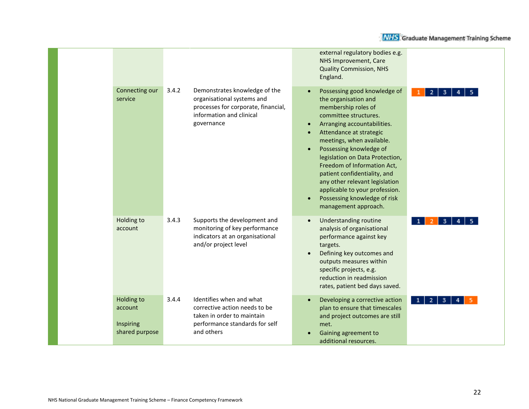|                                                      |                                                                                                                                                       | external regulatory bodies e.g.<br>NHS Improvement, Care<br><b>Quality Commission, NHS</b><br>England.                                                                                                                                                                                                                                                                                                                                                            |                        |
|------------------------------------------------------|-------------------------------------------------------------------------------------------------------------------------------------------------------|-------------------------------------------------------------------------------------------------------------------------------------------------------------------------------------------------------------------------------------------------------------------------------------------------------------------------------------------------------------------------------------------------------------------------------------------------------------------|------------------------|
| Connecting our<br>service                            | 3.4.2<br>Demonstrates knowledge of the<br>organisational systems and<br>processes for corporate, financial,<br>information and clinical<br>governance | Possessing good knowledge of<br>the organisation and<br>membership roles of<br>committee structures.<br>Arranging accountabilities.<br>Attendance at strategic<br>meetings, when available.<br>Possessing knowledge of<br>$\bullet$<br>legislation on Data Protection,<br>Freedom of Information Act,<br>patient confidentiality, and<br>any other relevant legislation<br>applicable to your profession.<br>Possessing knowledge of risk<br>management approach. | 2                      |
| Holding to<br>account                                | 3.4.3<br>Supports the development and<br>monitoring of key performance<br>indicators at an organisational<br>and/or project level                     | <b>Understanding routine</b><br>$\bullet$<br>analysis of organisational<br>performance against key<br>targets.<br>Defining key outcomes and<br>$\bullet$<br>outputs measures within<br>specific projects, e.g.<br>reduction in readmission<br>rates, patient bed days saved.                                                                                                                                                                                      | 3                      |
| Holding to<br>account<br>Inspiring<br>shared purpose | 3.4.4<br>Identifies when and what<br>corrective action needs to be<br>taken in order to maintain<br>performance standards for self<br>and others      | Developing a corrective action<br>$\bullet$<br>plan to ensure that timescales<br>and project outcomes are still<br>met.<br>Gaining agreement to<br>additional resources.                                                                                                                                                                                                                                                                                          | $\mathbf{2}$<br>3<br>1 |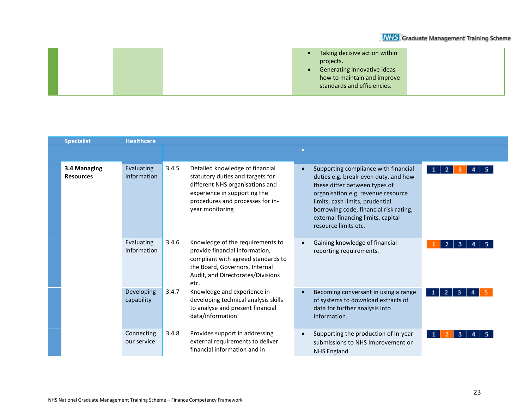|  | Taking decisive action within<br>$\bullet$ |  |
|--|--------------------------------------------|--|
|  | projects.                                  |  |
|  | Generating innovative ideas                |  |
|  | how to maintain and improve                |  |
|  | standards and efficiencies.                |  |
|  |                                            |  |

| <b>Specialist</b>                | <b>Healthcare</b>                |       |                                                                                                                                                                                               |           |                                                                                                                                                                                                                                                                                                |                                |
|----------------------------------|----------------------------------|-------|-----------------------------------------------------------------------------------------------------------------------------------------------------------------------------------------------|-----------|------------------------------------------------------------------------------------------------------------------------------------------------------------------------------------------------------------------------------------------------------------------------------------------------|--------------------------------|
|                                  |                                  |       |                                                                                                                                                                                               | $\bullet$ |                                                                                                                                                                                                                                                                                                |                                |
| 3.4 Managing<br><b>Resources</b> | <b>Evaluating</b><br>information | 3.4.5 | Detailed knowledge of financial<br>statutory duties and targets for<br>different NHS organisations and<br>experience in supporting the<br>procedures and processes for in-<br>year monitoring | $\bullet$ | Supporting compliance with financial<br>duties e.g. break-even duty, and how<br>these differ between types of<br>organisation e.g. revenue resource<br>limits, cash limits, prudential<br>borrowing code, financial risk rating,<br>external financing limits, capital<br>resource limits etc. | $\mathbf{1}$<br>$\overline{2}$ |
|                                  | Evaluating<br>information        | 3.4.6 | Knowledge of the requirements to<br>provide financial information,<br>compliant with agreed standards to<br>the Board, Governors, Internal<br>Audit, and Directorates/Divisions<br>etc.       | $\bullet$ | Gaining knowledge of financial<br>reporting requirements.                                                                                                                                                                                                                                      |                                |
|                                  | Developing<br>capability         | 3.4.7 | Knowledge and experience in<br>developing technical analysis skills<br>to analyse and present financial<br>data/information                                                                   |           | Becoming conversant in using a range<br>of systems to download extracts of<br>data for further analysis into<br>information.                                                                                                                                                                   | 2<br>$\mathbf{1}$<br>3         |
|                                  | Connecting<br>our service        | 3.4.8 | Provides support in addressing<br>external requirements to deliver<br>financial information and in                                                                                            | $\bullet$ | Supporting the production of in-year<br>submissions to NHS Improvement or<br><b>NHS England</b>                                                                                                                                                                                                | -1<br>3                        |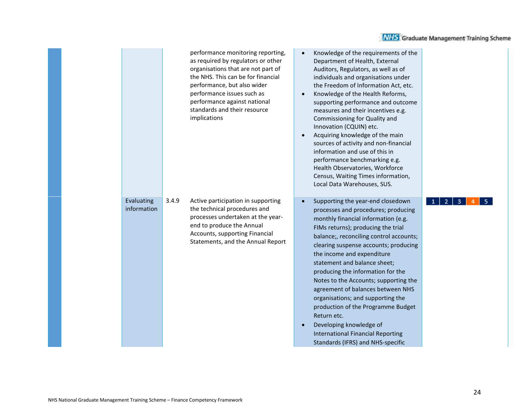|                           |       | performance monitoring reporting,<br>as required by regulators or other<br>organisations that are not part of<br>the NHS. This can be for financial<br>performance, but also wider<br>performance issues such as<br>performance against national<br>standards and their resource<br>implications | Knowledge of the requirements of the<br>$\bullet$<br>Department of Health, External<br>Auditors, Regulators, as well as of<br>individuals and organisations under<br>the Freedom of Information Act, etc.<br>Knowledge of the Health Reforms,<br>supporting performance and outcome<br>measures and their incentives e.g.<br>Commissioning for Quality and<br>Innovation (CQUIN) etc.<br>Acquiring knowledge of the main<br>sources of activity and non-financial<br>information and use of this in<br>performance benchmarking e.g.<br>Health Observatories, Workforce<br>Census, Waiting Times information,<br>Local Data Warehouses, SUS. |        |
|---------------------------|-------|--------------------------------------------------------------------------------------------------------------------------------------------------------------------------------------------------------------------------------------------------------------------------------------------------|----------------------------------------------------------------------------------------------------------------------------------------------------------------------------------------------------------------------------------------------------------------------------------------------------------------------------------------------------------------------------------------------------------------------------------------------------------------------------------------------------------------------------------------------------------------------------------------------------------------------------------------------|--------|
| Evaluating<br>information | 3.4.9 | Active participation in supporting<br>the technical procedures and<br>processes undertaken at the year-<br>end to produce the Annual<br>Accounts, supporting Financial<br>Statements, and the Annual Report                                                                                      | Supporting the year-end closedown<br>processes and procedures; producing<br>monthly financial information (e.g.<br>FIMs returns); producing the trial<br>balance;, reconciling control accounts;<br>clearing suspense accounts; producing<br>the income and expenditure<br>statement and balance sheet;<br>producing the information for the<br>Notes to the Accounts; supporting the<br>agreement of balances between NHS<br>organisations; and supporting the<br>production of the Programme Budget<br>Return etc.<br>Developing knowledge of<br><b>International Financial Reporting</b><br>Standards (IFRS) and NHS-specific             | з<br>2 |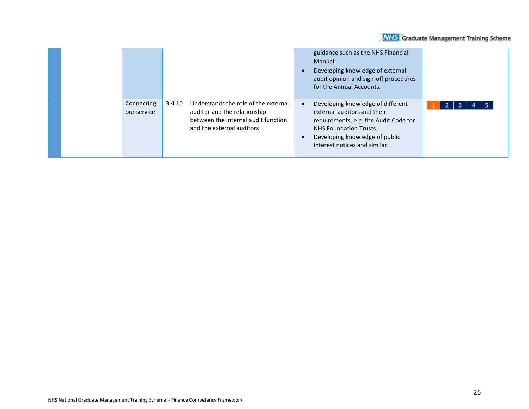|                                                                                                                                                                                 | guidance such as the NHS Financial<br>Manual.<br>Developing knowledge of external<br>audit opinion and sign-off procedures<br>for the Annual Accounts.                                                                                         |
|---------------------------------------------------------------------------------------------------------------------------------------------------------------------------------|------------------------------------------------------------------------------------------------------------------------------------------------------------------------------------------------------------------------------------------------|
| Understands the role of the external<br>Connecting<br>3.4.10<br>auditor and the relationship<br>our service<br>between the internal audit function<br>and the external auditors | Developing knowledge of different<br>- 5<br>$\mathbf{Z}$<br>3<br>4<br>external auditors and their<br>requirements, e.g. the Audit Code for<br><b>NHS Foundation Trusts.</b><br>Developing knowledge of public<br>interest notices and similar. |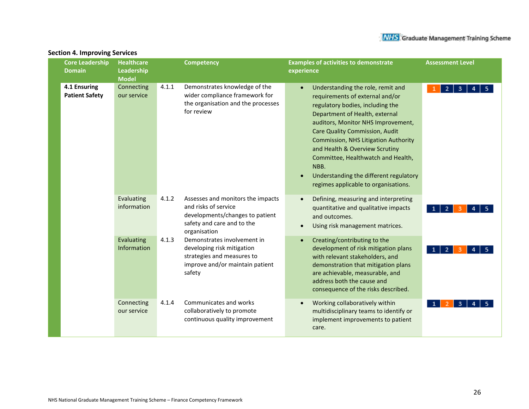| <b>Core Leadership</b><br><b>Domain</b> | <b>Healthcare</b><br>Leadership<br><b>Model</b> |       | <b>Competency</b>                                                                                                                          | <b>Examples of activities to demonstrate</b><br><b>Assessment Level</b><br>experience                                                                                                                                                                                                                                                                                                                                                                |  |
|-----------------------------------------|-------------------------------------------------|-------|--------------------------------------------------------------------------------------------------------------------------------------------|------------------------------------------------------------------------------------------------------------------------------------------------------------------------------------------------------------------------------------------------------------------------------------------------------------------------------------------------------------------------------------------------------------------------------------------------------|--|
| 4.1 Ensuring<br><b>Patient Safety</b>   | Connecting<br>our service                       | 4.1.1 | Demonstrates knowledge of the<br>wider compliance framework for<br>the organisation and the processes<br>for review                        | Understanding the role, remit and<br>2<br>3<br>requirements of external and/or<br>regulatory bodies, including the<br>Department of Health, external<br>auditors, Monitor NHS Improvement,<br><b>Care Quality Commission, Audit</b><br><b>Commission, NHS Litigation Authority</b><br>and Health & Overview Scrutiny<br>Committee, Healthwatch and Health,<br>NBB.<br>Understanding the different regulatory<br>regimes applicable to organisations. |  |
|                                         | Evaluating<br>information                       | 4.1.2 | Assesses and monitors the impacts<br>and risks of service<br>developments/changes to patient<br>safety and care and to the<br>organisation | Defining, measuring and interpreting<br>quantitative and qualitative impacts<br>2<br>and outcomes.<br>Using risk management matrices.                                                                                                                                                                                                                                                                                                                |  |
|                                         | Evaluating<br>Information                       | 4.1.3 | Demonstrates involvement in<br>developing risk mitigation<br>strategies and measures to<br>improve and/or maintain patient<br>safety       | Creating/contributing to the<br>development of risk mitigation plans<br>2<br>with relevant stakeholders, and<br>demonstration that mitigation plans<br>are achievable, measurable, and<br>address both the cause and<br>consequence of the risks described.                                                                                                                                                                                          |  |
|                                         | Connecting<br>our service                       | 4.1.4 | Communicates and works<br>collaboratively to promote<br>continuous quality improvement                                                     | Working collaboratively within<br>$\bullet$<br>multidisciplinary teams to identify or<br>implement improvements to patient<br>care.                                                                                                                                                                                                                                                                                                                  |  |

#### **Section 4. Improving Services**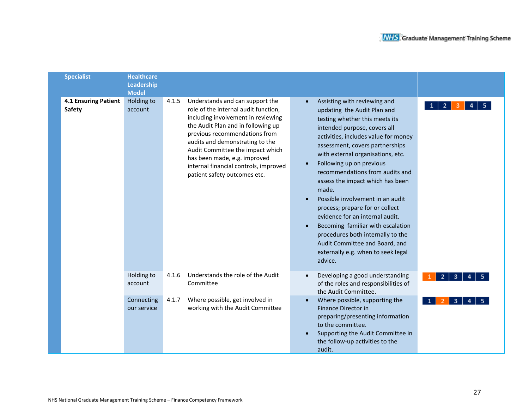| <b>Specialist</b>                     | <b>Healthcare</b><br>Leadership<br><b>Model</b> |       |                                                                                                                                                                                                                                                                                                                                                                      |                                                                                                                                                                                                                                                                                                                                                                                                                                                                                                                                                                                                                                                    |  |
|---------------------------------------|-------------------------------------------------|-------|----------------------------------------------------------------------------------------------------------------------------------------------------------------------------------------------------------------------------------------------------------------------------------------------------------------------------------------------------------------------|----------------------------------------------------------------------------------------------------------------------------------------------------------------------------------------------------------------------------------------------------------------------------------------------------------------------------------------------------------------------------------------------------------------------------------------------------------------------------------------------------------------------------------------------------------------------------------------------------------------------------------------------------|--|
| <b>4.1 Ensuring Patient</b><br>Safety | Holding to<br>account                           | 4.1.5 | Understands and can support the<br>role of the internal audit function,<br>including involvement in reviewing<br>the Audit Plan and in following up<br>previous recommendations from<br>audits and demonstrating to the<br>Audit Committee the impact which<br>has been made, e.g. improved<br>internal financial controls, improved<br>patient safety outcomes etc. | Assisting with reviewing and<br>$\overline{2}$<br>updating the Audit Plan and<br>testing whether this meets its<br>intended purpose, covers all<br>activities, includes value for money<br>assessment, covers partnerships<br>with external organisations, etc.<br>Following up on previous<br>recommendations from audits and<br>assess the impact which has been<br>made.<br>Possible involvement in an audit<br>process; prepare for or collect<br>evidence for an internal audit.<br>Becoming familiar with escalation<br>procedures both internally to the<br>Audit Committee and Board, and<br>externally e.g. when to seek legal<br>advice. |  |
|                                       | Holding to<br>account                           | 4.1.6 | Understands the role of the Audit<br>Committee                                                                                                                                                                                                                                                                                                                       | Developing a good understanding<br>2<br>3<br>of the roles and responsibilities of<br>the Audit Committee.                                                                                                                                                                                                                                                                                                                                                                                                                                                                                                                                          |  |
|                                       | Connecting<br>our service                       | 4.1.7 | Where possible, get involved in<br>working with the Audit Committee                                                                                                                                                                                                                                                                                                  | Where possible, supporting the<br>$\bullet$<br>з<br>Finance Director in<br>preparing/presenting information<br>to the committee.<br>Supporting the Audit Committee in<br>the follow-up activities to the<br>audit.                                                                                                                                                                                                                                                                                                                                                                                                                                 |  |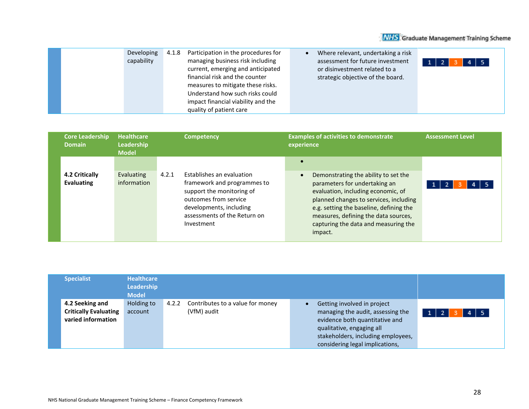|  | Developing<br>capability | 4.1.8 | Participation in the procedures for<br>managing business risk including<br>current, emerging and anticipated<br>financial risk and the counter<br>measures to mitigate these risks. | Where relevant, undertaking a risk<br>assessment for future investment<br>or disinvestment related to a<br>strategic objective of the board. | 4 5<br>$1\vert 2$ |
|--|--------------------------|-------|-------------------------------------------------------------------------------------------------------------------------------------------------------------------------------------|----------------------------------------------------------------------------------------------------------------------------------------------|-------------------|
|  |                          |       | Understand how such risks could<br>impact financial viability and the<br>quality of patient care                                                                                    |                                                                                                                                              |                   |

| $\bullet$<br>4.2 Critically<br>Establishes an evaluation<br>Evaluating<br>4.2.1<br>Demonstrating the ability to set the<br>$\bullet$<br><b>Evaluating</b><br>information<br>framework and programmes to<br>parameters for undertaking an<br>support the monitoring of<br>evaluation, including economic, of<br>outcomes from service<br>planned changes to services, including<br>developments, including<br>e.g. setting the baseline, defining the<br>assessments of the Return on<br>measures, defining the data sources,<br>capturing the data and measuring the<br>Investment<br>impact. | <b>Core Leadership</b><br><b>Domain</b> | Healthcare<br><b>Competency</b><br>Leadership<br><b>Model</b> |  | <b>Examples of activities to demonstrate</b><br>experience | <b>Assessment Level</b> |  |
|-----------------------------------------------------------------------------------------------------------------------------------------------------------------------------------------------------------------------------------------------------------------------------------------------------------------------------------------------------------------------------------------------------------------------------------------------------------------------------------------------------------------------------------------------------------------------------------------------|-----------------------------------------|---------------------------------------------------------------|--|------------------------------------------------------------|-------------------------|--|
|                                                                                                                                                                                                                                                                                                                                                                                                                                                                                                                                                                                               |                                         |                                                               |  |                                                            |                         |  |

| <b>Specialist</b>                                                     | <b>Healthcare</b><br>Leadership<br><b>Model</b> |       |                                                 |                                                                                                                                                                                                          |                                      |
|-----------------------------------------------------------------------|-------------------------------------------------|-------|-------------------------------------------------|----------------------------------------------------------------------------------------------------------------------------------------------------------------------------------------------------------|--------------------------------------|
| 4.2 Seeking and<br><b>Critically Evaluating</b><br>varied information | Holding to<br>account                           | 4.2.2 | Contributes to a value for money<br>(VfM) audit | Getting involved in project<br>managing the audit, assessing the<br>evidence both quantitative and<br>qualitative, engaging all<br>stakeholders, including employees,<br>considering legal implications, | $4 \mid 5$<br>$\vert 1 \vert$<br>- 2 |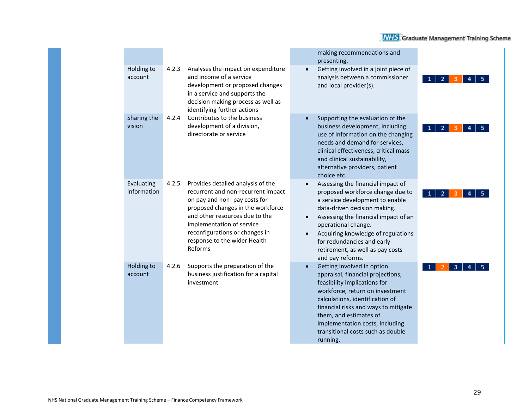| <b>Holding to</b><br>account | Analyses the impact on expenditure<br>4.2.3<br>and income of a service<br>development or proposed changes<br>in a service and supports the<br>decision making process as well as<br>identifying further actions                                                                                    | making recommendations and<br>presenting.<br>Getting involved in a joint piece of<br>$\bullet$<br>analysis between a commissioner<br>and local provider(s).                                                                                                                                                                                                                | $\overline{2}$ |
|------------------------------|----------------------------------------------------------------------------------------------------------------------------------------------------------------------------------------------------------------------------------------------------------------------------------------------------|----------------------------------------------------------------------------------------------------------------------------------------------------------------------------------------------------------------------------------------------------------------------------------------------------------------------------------------------------------------------------|----------------|
| Sharing the<br>vision        | Contributes to the business<br>4.2.4<br>development of a division,<br>directorate or service                                                                                                                                                                                                       | Supporting the evaluation of the<br>$\bullet$<br>business development, including<br>use of information on the changing<br>needs and demand for services,<br>clinical effectiveness, critical mass<br>and clinical sustainability,<br>alternative providers, patient<br>choice etc.                                                                                         | 2 <sup>1</sup> |
| Evaluating<br>information    | 4.2.5<br>Provides detailed analysis of the<br>recurrent and non-recurrent impact<br>on pay and non- pay costs for<br>proposed changes in the workforce<br>and other resources due to the<br>implementation of service<br>reconfigurations or changes in<br>response to the wider Health<br>Reforms | Assessing the financial impact of<br>$\bullet$<br>proposed workforce change due to<br>a service development to enable<br>data-driven decision making.<br>Assessing the financial impact of an<br>$\bullet$<br>operational change.<br>Acquiring knowledge of regulations<br>$\bullet$<br>for redundancies and early<br>retirement, as well as pay costs<br>and pay reforms. | 2<br>-1        |
| Holding to<br>account        | 4.2.6<br>Supports the preparation of the<br>business justification for a capital<br>investment                                                                                                                                                                                                     | Getting involved in option<br>$\bullet$<br>appraisal, financial projections,<br>feasibility implications for<br>workforce, return on investment<br>calculations, identification of<br>financial risks and ways to mitigate<br>them, and estimates of<br>implementation costs, including<br>transitional costs such as double<br>running.                                   | 3              |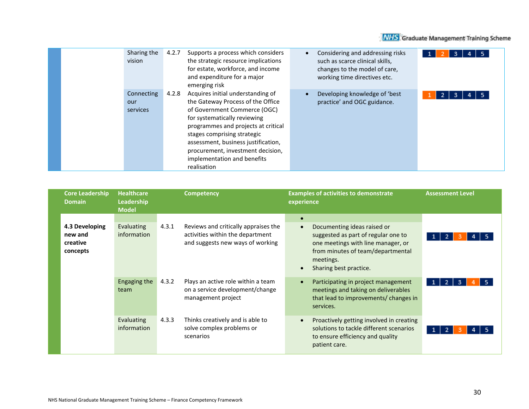|  | Sharing the<br>vision         | 4.2.7 | Supports a process which considers<br>the strategic resource implications<br>for estate, workforce, and income<br>and expenditure for a major<br>emerging risk                                                                                                                                                                         | $\bullet$ | Considering and addressing risks<br>such as scarce clinical skills,<br>changes to the model of care,<br>working time directives etc. |        |
|--|-------------------------------|-------|----------------------------------------------------------------------------------------------------------------------------------------------------------------------------------------------------------------------------------------------------------------------------------------------------------------------------------------|-----------|--------------------------------------------------------------------------------------------------------------------------------------|--------|
|  | Connecting<br>our<br>services | 4.2.8 | Acquires initial understanding of<br>the Gateway Process of the Office<br>of Government Commerce (OGC)<br>for systematically reviewing<br>programmes and projects at critical<br>stages comprising strategic<br>assessment, business justification,<br>procurement, investment decision,<br>implementation and benefits<br>realisation | $\bullet$ | Developing knowledge of 'best<br>practice' and OGC guidance.                                                                         | 2<br>з |

| <b>Core Leadership</b><br><b>Domain</b>           | <b>Healthcare</b><br>Leadership<br><b>Model</b> |       | <b>Competency</b>                                                                                            | <b>Examples of activities to demonstrate</b><br><b>Assessment Level</b><br>experience |                                                                                                                                                                                      |  |  |
|---------------------------------------------------|-------------------------------------------------|-------|--------------------------------------------------------------------------------------------------------------|---------------------------------------------------------------------------------------|--------------------------------------------------------------------------------------------------------------------------------------------------------------------------------------|--|--|
| 4.3 Developing<br>new and<br>creative<br>concepts | Evaluating<br>information                       | 4.3.1 | Reviews and critically appraises the<br>activities within the department<br>and suggests new ways of working | $\bullet$<br>$\bullet$<br>$\bullet$                                                   | Documenting ideas raised or<br>suggested as part of regular one to<br>one meetings with line manager, or<br>from minutes of team/departmental<br>meetings.<br>Sharing best practice. |  |  |
|                                                   | Engaging the<br>team                            | 4.3.2 | Plays an active role within a team<br>on a service development/change<br>management project                  | $\bullet$                                                                             | Participating in project management<br>meetings and taking on deliverables<br>that lead to improvements/ changes in<br>services.                                                     |  |  |
|                                                   | Evaluating<br>information                       | 4.3.3 | Thinks creatively and is able to<br>solve complex problems or<br>scenarios                                   | $\bullet$                                                                             | Proactively getting involved in creating<br>solutions to tackle different scenarios<br>to ensure efficiency and quality<br>patient care.                                             |  |  |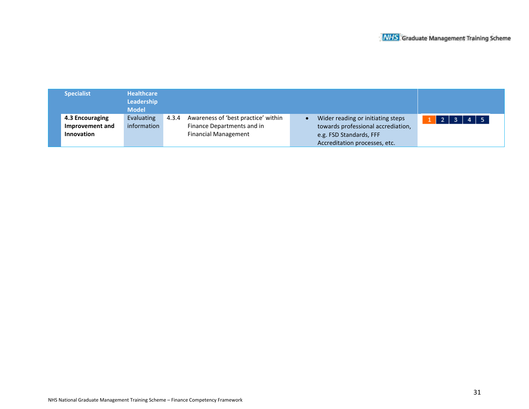| <b>Specialist</b>                                | <b>Healthcare</b><br>Leadership<br><b>Model</b> |       |                                                                                                  |                                                                                                                                     |               |
|--------------------------------------------------|-------------------------------------------------|-------|--------------------------------------------------------------------------------------------------|-------------------------------------------------------------------------------------------------------------------------------------|---------------|
| 4.3 Encouraging<br>Improvement and<br>Innovation | Evaluating<br>information                       | 4.3.4 | Awareness of 'best practice' within<br>Finance Departments and in<br><b>Financial Management</b> | Wider reading or initiating steps<br>towards professional accrediation,<br>e.g. FSD Standards, FFF<br>Accreditation processes, etc. | 2   3   4   5 |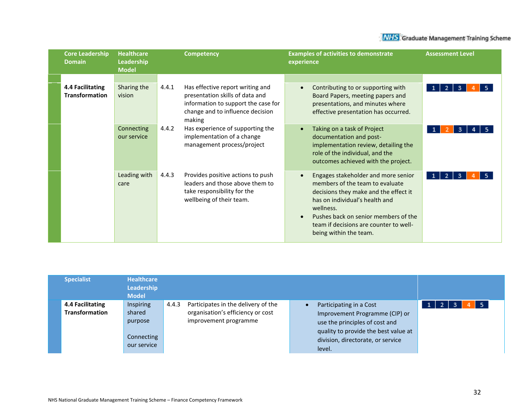| <b>Core Leadership</b><br><b>Domain</b>   | <b>Healthcare</b><br>Leadership<br><b>Model</b> |       | <b>Competency</b>                                                                                                                                        | <b>Examples of activities to demonstrate</b><br>experience                                                                                                                                                                                                                                           | <b>Assessment Level</b>     |
|-------------------------------------------|-------------------------------------------------|-------|----------------------------------------------------------------------------------------------------------------------------------------------------------|------------------------------------------------------------------------------------------------------------------------------------------------------------------------------------------------------------------------------------------------------------------------------------------------------|-----------------------------|
| 4.4 Facilitating<br><b>Transformation</b> | Sharing the<br>vision                           | 4.4.1 | Has effective report writing and<br>presentation skills of data and<br>information to support the case for<br>change and to influence decision<br>making | Contributing to or supporting with<br>$\bullet$<br>Board Papers, meeting papers and<br>presentations, and minutes where<br>effective presentation has occurred.                                                                                                                                      | -2  <br>- 3<br>$\mathbf{1}$ |
|                                           | Connecting<br>our service                       | 4.4.2 | Has experience of supporting the<br>implementation of a change<br>management process/project                                                             | Taking on a task of Project<br>$\bullet$<br>documentation and post-<br>implementation review, detailing the<br>role of the individual, and the<br>outcomes achieved with the project.                                                                                                                |                             |
|                                           | Leading with<br>care                            | 4.4.3 | Provides positive actions to push<br>leaders and those above them to<br>take responsibility for the<br>wellbeing of their team.                          | Engages stakeholder and more senior<br>$\bullet$<br>members of the team to evaluate<br>decisions they make and the effect it<br>has on individual's health and<br>wellness.<br>Pushes back on senior members of the<br>$\bullet$<br>team if decisions are counter to well-<br>being within the team. | $\mathbf{2}$<br>3           |

| <b>Specialist</b>                         | Healthcare<br><b>Leadership</b><br><b>Model</b>             |       |                                                                                                   |                                                                                                                                                                                    |  |    |
|-------------------------------------------|-------------------------------------------------------------|-------|---------------------------------------------------------------------------------------------------|------------------------------------------------------------------------------------------------------------------------------------------------------------------------------------|--|----|
| 4.4 Facilitating<br><b>Transformation</b> | Inspiring<br>shared<br>purpose<br>Connecting<br>our service | 4.4.3 | Participates in the delivery of the<br>organisation's efficiency or cost<br>improvement programme | Participating in a Cost<br>Improvement Programme (CIP) or<br>use the principles of cost and<br>quality to provide the best value at<br>division, directorate, or service<br>level. |  | -5 |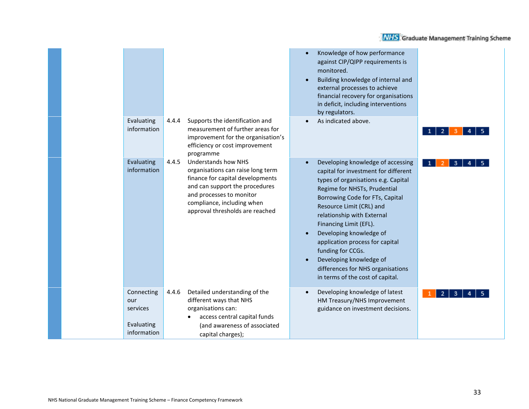|                                                            |                                                                                                                                                                                                                                             | Knowledge of how performance<br>against CIP/QIPP requirements is<br>monitored.<br>Building knowledge of internal and<br>external processes to achieve<br>financial recovery for organisations<br>in deficit, including interventions<br>by regulators.                                                                                                                                                                                                         |    |
|------------------------------------------------------------|---------------------------------------------------------------------------------------------------------------------------------------------------------------------------------------------------------------------------------------------|----------------------------------------------------------------------------------------------------------------------------------------------------------------------------------------------------------------------------------------------------------------------------------------------------------------------------------------------------------------------------------------------------------------------------------------------------------------|----|
| Evaluating<br>information                                  | 4.4.4<br>Supports the identification and<br>measurement of further areas for<br>improvement for the organisation's<br>efficiency or cost improvement<br>programme                                                                           | As indicated above.                                                                                                                                                                                                                                                                                                                                                                                                                                            | -2 |
| Evaluating<br>information                                  | <b>Understands how NHS</b><br>4.4.5<br>organisations can raise long term<br>finance for capital developments<br>and can support the procedures<br>and processes to monitor<br>compliance, including when<br>approval thresholds are reached | Developing knowledge of accessing<br>capital for investment for different<br>types of organisations e.g. Capital<br>Regime for NHSTs, Prudential<br>Borrowing Code for FTs, Capital<br>Resource Limit (CRL) and<br>relationship with External<br>Financing Limit (EFL).<br>Developing knowledge of<br>application process for capital<br>funding for CCGs.<br>Developing knowledge of<br>differences for NHS organisations<br>in terms of the cost of capital. | 3  |
| Connecting<br>our<br>services<br>Evaluating<br>information | 4.4.6<br>Detailed understanding of the<br>different ways that NHS<br>organisations can:<br>access central capital funds<br>(and awareness of associated<br>capital charges);                                                                | Developing knowledge of latest<br>HM Treasury/NHS Improvement<br>guidance on investment decisions.                                                                                                                                                                                                                                                                                                                                                             |    |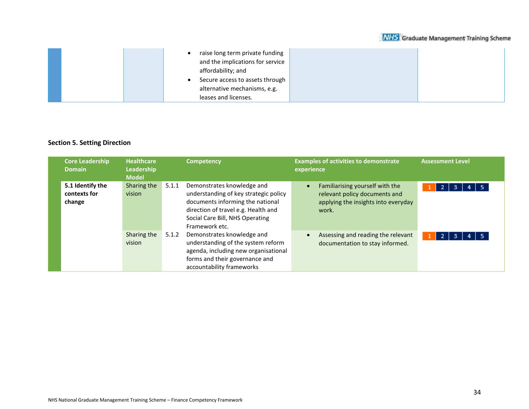|  | raise long term private funding<br>and the implications for service<br>affordability; and |  |
|--|-------------------------------------------------------------------------------------------|--|
|  | Secure access to assets through                                                           |  |
|  | alternative mechanisms, e.g.                                                              |  |
|  | leases and licenses.                                                                      |  |

### **Section 5. Setting Direction**

| <b>Core Leadership</b><br><b>Domain</b>    | <b>Healthcare</b><br>Leadership<br><b>Model</b> |                                                                                                    | <b>Competency</b>                                                                                                                                                                                   |           | <b>Examples of activities to demonstrate</b><br>experience                                                       | <b>Assessment Level</b> |  |  |
|--------------------------------------------|-------------------------------------------------|----------------------------------------------------------------------------------------------------|-----------------------------------------------------------------------------------------------------------------------------------------------------------------------------------------------------|-----------|------------------------------------------------------------------------------------------------------------------|-------------------------|--|--|
| 5.1 Identify the<br>contexts for<br>change | Sharing the<br>vision                           | 5.1.1                                                                                              | Demonstrates knowledge and<br>understanding of key strategic policy<br>documents informing the national<br>direction of travel e.g. Health and<br>Social Care Bill, NHS Operating<br>Framework etc. | $\bullet$ | Familiarising yourself with the<br>relevant policy documents and<br>applying the insights into everyday<br>work. | -2.<br>з                |  |  |
|                                            | Sharing the<br>vision                           | Demonstrates knowledge and<br>5.1.2<br>forms and their governance and<br>accountability frameworks | understanding of the system reform<br>agenda, including new organisational                                                                                                                          | $\bullet$ | Assessing and reading the relevant<br>documentation to stay informed.                                            | $\overline{2}$<br>3     |  |  |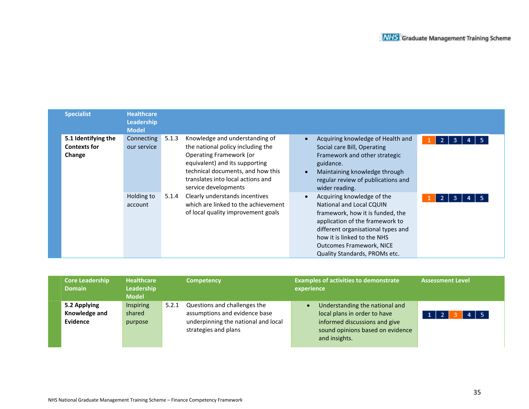| <b>Specialist</b>                                    | <b>Healthcare</b><br>Leadership<br><b>Model</b> |       |                                                                                                                                                                                                                                    |                                                                                                                                                                                                                                                                               |        |
|------------------------------------------------------|-------------------------------------------------|-------|------------------------------------------------------------------------------------------------------------------------------------------------------------------------------------------------------------------------------------|-------------------------------------------------------------------------------------------------------------------------------------------------------------------------------------------------------------------------------------------------------------------------------|--------|
| 5.1 Identifying the<br><b>Contexts for</b><br>Change | Connecting<br>our service                       | 5.1.3 | Knowledge and understanding of<br>the national policy including the<br>Operating Framework (or<br>equivalent) and its supporting<br>technical documents, and how this<br>translates into local actions and<br>service developments | Acquiring knowledge of Health and<br>Social care Bill, Operating<br>Framework and other strategic<br>guidance.<br>Maintaining knowledge through<br>regular review of publications and<br>wider reading.                                                                       | 2<br>3 |
|                                                      | Holding to<br>account                           | 5.1.4 | Clearly understands incentives<br>which are linked to the achievement<br>of local quality improvement goals                                                                                                                        | Acquiring knowledge of the<br><b>National and Local CQUIN</b><br>framework, how it is funded, the<br>application of the framework to<br>different organisational types and<br>how it is linked to the NHS<br><b>Outcomes Framework, NICE</b><br>Quality Standards, PROMs etc. | -2     |

| <b>Core Leadership</b><br><b>Domain</b>   | <b>Healthcare</b><br>Leadership<br><b>Model</b> |       | <b>Competency</b>                                                                                                            | <b>Examples of activities to demonstrate</b><br>experience                                                                                                        | <b>Assessment Level</b> |
|-------------------------------------------|-------------------------------------------------|-------|------------------------------------------------------------------------------------------------------------------------------|-------------------------------------------------------------------------------------------------------------------------------------------------------------------|-------------------------|
| 5.2 Applying<br>Knowledge and<br>Evidence | <b>Inspiring</b><br>shared<br>purpose           | 5.2.1 | Questions and challenges the<br>assumptions and evidence base<br>underpinning the national and local<br>strategies and plans | Understanding the national and<br>$\bullet$<br>local plans in order to have<br>informed discussions and give<br>sound opinions based on evidence<br>and insights. | $4 \mid 5$              |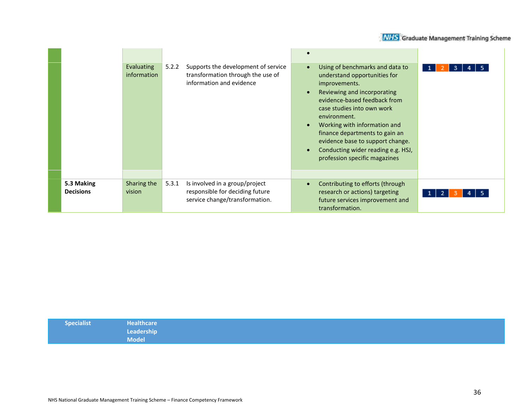|                                | <b>Evaluating</b><br>information | Supports the development of service<br>5.2.2<br>transformation through the use of<br>information and evidence | Using of benchmarks and data to<br>$\bullet$<br>understand opportunities for<br>improvements.<br>Reviewing and incorporating<br>$\bullet$<br>evidence-based feedback from<br>case studies into own work<br>environment.<br>Working with information and<br>$\bullet$<br>finance departments to gain an<br>evidence base to support change.<br>Conducting wider reading e.g. HSJ,<br>$\bullet$<br>profession specific magazines | 3                   |
|--------------------------------|----------------------------------|---------------------------------------------------------------------------------------------------------------|--------------------------------------------------------------------------------------------------------------------------------------------------------------------------------------------------------------------------------------------------------------------------------------------------------------------------------------------------------------------------------------------------------------------------------|---------------------|
| 5.3 Making<br><b>Decisions</b> | Sharing the<br>vision            | 5.3.1<br>Is involved in a group/project<br>responsible for deciding future<br>service change/transformation.  | Contributing to efforts (through<br>$\bullet$<br>research or actions) targeting<br>future services improvement and<br>transformation.                                                                                                                                                                                                                                                                                          | 2 <sup>1</sup><br>1 |

| Specialist | <b>Healthcare</b> |  |
|------------|-------------------|--|
|            | Leadership        |  |
|            | <b>Model</b>      |  |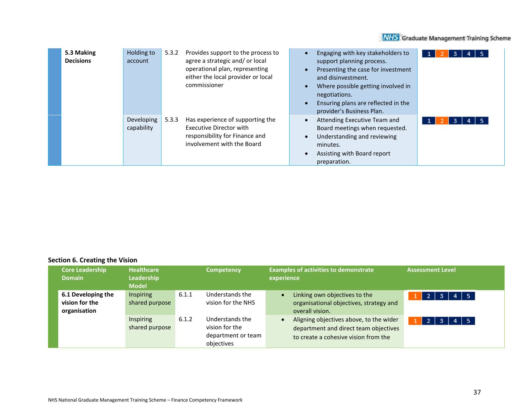| 5.3 Making<br><b>Decisions</b> | Holding to<br>account    | 5.3.2 | Provides support to the process to<br>agree a strategic and/or local<br>operational plan, representing<br>either the local provider or local<br>commissioner | Engaging with key stakeholders to<br>support planning process.<br>Presenting the case for investment<br>and disinvestment.<br>Where possible getting involved in<br>negotiations.<br>Ensuring plans are reflected in the<br>provider's Business Plan. | 3 |
|--------------------------------|--------------------------|-------|--------------------------------------------------------------------------------------------------------------------------------------------------------------|-------------------------------------------------------------------------------------------------------------------------------------------------------------------------------------------------------------------------------------------------------|---|
|                                | Developing<br>capability | 5.3.3 | Has experience of supporting the<br>Executive Director with<br>responsibility for Finance and<br>involvement with the Board                                  | Attending Executive Team and<br>Board meetings when requested.<br>Understanding and reviewing<br>minutes.<br>Assisting with Board report<br>preparation.                                                                                              | з |

### **Section 6. Creating the Vision**

| <b>Core Leadership</b><br><b>Domain</b>              | <b>Healthcare</b><br>Leadership<br><b>Model</b> |       | <b>Competency</b>                                                     | <b>Examples of activities to demonstrate</b><br><b>Assessment Level</b><br>experience                                                            |
|------------------------------------------------------|-------------------------------------------------|-------|-----------------------------------------------------------------------|--------------------------------------------------------------------------------------------------------------------------------------------------|
| 6.1 Developing the<br>vision for the<br>organisation | Inspiring<br>shared purpose                     | 6.1.1 | Understands the<br>vision for the NHS                                 | Linking own objectives to the<br>- 5<br>3<br>organisational objectives, strategy and<br>overall vision.                                          |
|                                                      | Inspiring<br>shared purpose                     | 6.1.2 | Understands the<br>vision for the<br>department or team<br>objectives | Aligning objectives above, to the wider<br>$\overline{2}$<br>-3<br>department and direct team objectives<br>to create a cohesive vision from the |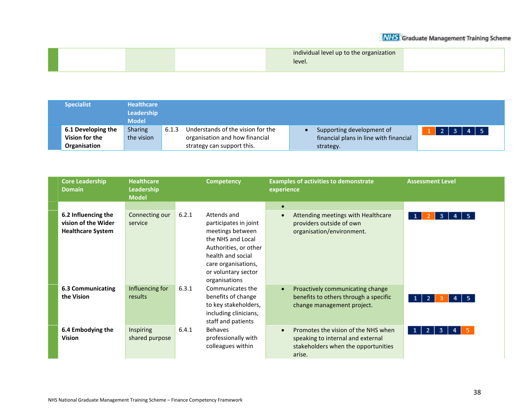|  | individual level up to the organization |  |
|--|-----------------------------------------|--|
|  | level.                                  |  |
|  |                                         |  |

| <b>Specialist</b>                    | <b>Healthcare</b><br>Leadership<br><b>Model</b> |       |                                                                     |                                                                     |                    |
|--------------------------------------|-------------------------------------------------|-------|---------------------------------------------------------------------|---------------------------------------------------------------------|--------------------|
| 6.1 Developing the<br>Vision for the | Sharing<br>the vision                           | 6.1.3 | Understands of the vision for the<br>organisation and how financial | Supporting development of<br>financial plans in line with financial | 4 5<br>-2-1<br>- 3 |
| Organisation                         |                                                 |       | strategy can support this.                                          | strategy.                                                           |                    |

| <b>Core Leadership</b><br><b>Domain</b>                                | <b>Healthcare</b><br>Leadership<br><b>Model</b> | <b>Competency</b> |                                                                                                                                                                                            | <b>Examples of activities to demonstrate</b><br>experience                                                                             | <b>Assessment Level</b> |
|------------------------------------------------------------------------|-------------------------------------------------|-------------------|--------------------------------------------------------------------------------------------------------------------------------------------------------------------------------------------|----------------------------------------------------------------------------------------------------------------------------------------|-------------------------|
|                                                                        |                                                 |                   |                                                                                                                                                                                            | $\bullet$                                                                                                                              |                         |
| 6.2 Influencing the<br>vision of the Wider<br><b>Healthcare System</b> | Connecting our<br>service                       | 6.2.1             | Attends and<br>participates in joint<br>meetings between<br>the NHS and Local<br>Authorities, or other<br>health and social<br>care organisations,<br>or voluntary sector<br>organisations | Attending meetings with Healthcare<br>$\bullet$<br>providers outside of own<br>organisation/environment.                               | 3<br>5.                 |
| <b>6.3 Communicating</b><br>the Vision                                 | Influencing for<br>results                      | 6.3.1             | Communicates the<br>benefits of change<br>to key stakeholders,<br>including clinicians,<br>staff and patients                                                                              | Proactively communicating change<br>$\bullet$<br>benefits to others through a specific<br>change management project.                   | 5.<br>1<br>2            |
| 6.4 Embodying the<br><b>Vision</b>                                     | Inspiring<br>shared purpose                     | 6.4.1             | <b>Behaves</b><br>professionally with<br>colleagues within                                                                                                                                 | Promotes the vision of the NHS when<br>$\bullet$<br>speaking to internal and external<br>stakeholders when the opportunities<br>arise. | $\mathbf{1}$<br>3       |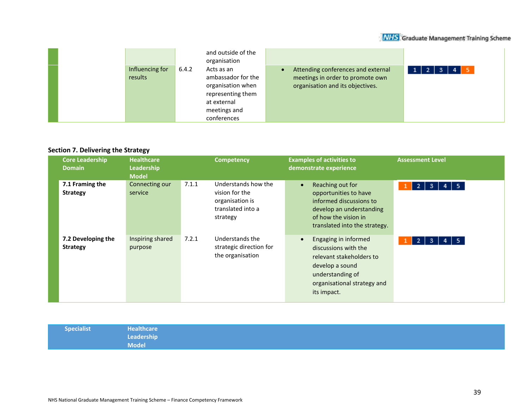|                            | and outside of the<br>organisation                                                                                                |                                                                                                            |                                               |
|----------------------------|-----------------------------------------------------------------------------------------------------------------------------------|------------------------------------------------------------------------------------------------------------|-----------------------------------------------|
| Influencing for<br>results | 6.4.2<br>Acts as an<br>ambassador for the<br>organisation when<br>representing them<br>at external<br>meetings and<br>conferences | Attending conferences and external<br>meetings in order to promote own<br>organisation and its objectives. | $1 \mid 2 \mid 3 \mid$<br>5<br>4 <sup>1</sup> |

### **Section 7. Delivering the Strategy**

| <b>Core Leadership</b><br><b>Domain</b> | <b>Healthcare</b><br>Leadership<br><b>Model</b> |       | <b>Competency</b>                                                                         | <b>Examples of activities to</b><br>demonstrate experience                                                                                                                 | <b>Assessment Level</b>                    |
|-----------------------------------------|-------------------------------------------------|-------|-------------------------------------------------------------------------------------------|----------------------------------------------------------------------------------------------------------------------------------------------------------------------------|--------------------------------------------|
| 7.1 Framing the<br><b>Strategy</b>      | Connecting our<br>service                       | 7.1.1 | Understands how the<br>vision for the<br>organisation is<br>translated into a<br>strategy | Reaching out for<br>$\bullet$<br>opportunities to have<br>informed discussions to<br>develop an understanding<br>of how the vision in<br>translated into the strategy.     | $\mathbf{1}$<br>$4 \mid 5$<br>-3  <br>$-2$ |
| 7.2 Developing the<br><b>Strategy</b>   | Inspiring shared<br>purpose                     | 7.2.1 | Understands the<br>strategic direction for<br>the organisation                            | Engaging in informed<br>$\bullet$<br>discussions with the<br>relevant stakeholders to<br>develop a sound<br>understanding of<br>organisational strategy and<br>its impact. | $4 \mid 5$<br>-3  <br>-2  <br>1            |

| Specialist | Healthcare   |
|------------|--------------|
|            | Leadership   |
|            | <b>Model</b> |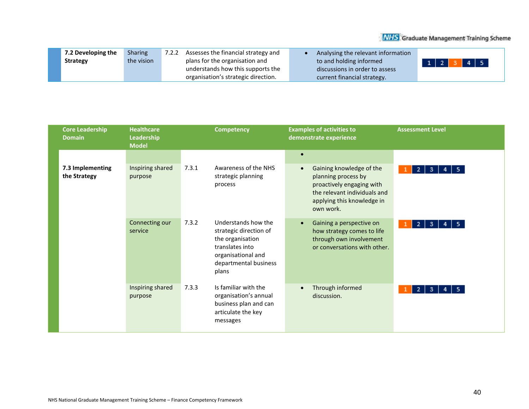| 7.2 Developing the | <b>Sharing</b> | Assesses the financial strategy and<br>7.2.2 | Analysing the relevant information |                        |
|--------------------|----------------|----------------------------------------------|------------------------------------|------------------------|
| <b>Strategy</b>    | the vision     | plans for the organisation and               | to and holding informed            | 4 5<br>$1 \mid 2 \mid$ |
|                    |                | understands how this supports the            | discussions in order to assess     |                        |
|                    |                | organisation's strategic direction.          | current financial strategy.        |                        |

| <b>Core Leadership</b><br><b>Domain</b> | <b>Healthcare</b><br>Leadership<br><b>Model</b> | <b>Competency</b>                                                                                                     | <b>Examples of activities to</b><br>demonstrate experience                                                                             | <b>Assessment Level</b>                      |
|-----------------------------------------|-------------------------------------------------|-----------------------------------------------------------------------------------------------------------------------|----------------------------------------------------------------------------------------------------------------------------------------|----------------------------------------------|
| 7.3 Implementing<br>the Strategy        | Inspiring shared<br>purpose                     | 7.3.1<br>Awareness of the NHS<br>strategic planning<br>process                                                        | $\bullet$<br>Gaining knowledge of the<br>$\bullet$<br>planning process by<br>proactively engaging with<br>the relevant individuals and | B<br>5 <sub>1</sub><br>2 <sub>1</sub><br>4   |
|                                         | Connecting our                                  | Understands how the<br>7.3.2                                                                                          | applying this knowledge in<br>own work.<br>Gaining a perspective on<br>$\bullet$                                                       | 2 <sub>1</sub><br>3 <sub>1</sub><br>-5.<br>4 |
|                                         | service                                         | strategic direction of<br>the organisation<br>translates into<br>organisational and<br>departmental business<br>plans | how strategy comes to life<br>through own involvement<br>or conversations with other.                                                  |                                              |
|                                         | Inspiring shared<br>purpose                     | Is familiar with the<br>7.3.3<br>organisation's annual<br>business plan and can<br>articulate the key<br>messages     | Through informed<br>$\bullet$<br>discussion.                                                                                           | 2<br>3<br>-5.<br>4                           |